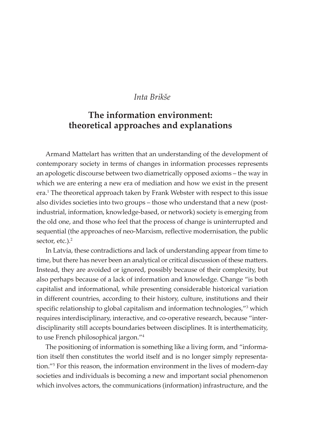#### *Inta Brikše*

# **The information environment: theoretical approaches and explanations**

Armand Mattelart has written that an understanding of the development of contemporary society in terms of changes in information processes represents an apologetic discourse between two diametrically opposed axioms – the way in which we are entering a new era of mediation and how we exist in the present era.<sup>1</sup> The theoretical approach taken by Frank Webster with respect to this issue also divides societies into two groups – those who understand that a new (postindustrial, information, knowledge-based, or network) society is emerging from the old one, and those who feel that the process of change is uninterrupted and sequential (the approaches of neo-Marxism, reflective modernisation, the public sector, etc.).<sup>2</sup>

In Latvia, these contradictions and lack of understanding appear from time to time, but there has never been an analytical or critical discussion of these matters. Instead, they are avoided or ignored, possibly because of their complexity, but also perhaps because of a lack of information and knowledge. Change "is both capitalist and informational, while presenting considerable historical variation in different countries, according to their history, culture, institutions and their specific relationship to global capitalism and information technologies,"<sup>3</sup> which requires interdisciplinary, interactive, and co-operative research, because "interdisciplinarity still accepts boundaries between disciplines. It is interthematicity, to use French philosophical jargon."4

The positioning of information is something like a living form, and "information itself then constitutes the world itself and is no longer simply representation."5 For this reason, the information environment in the lives of modern-day societies and individuals is becoming a new and important social phenomenon which involves actors, the communications (information) infrastructure, and the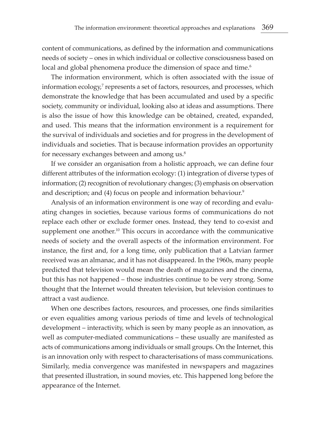content of communications, as defined by the information and communications needs of society – ones in which individual or collective consciousness based on local and global phenomena produce the dimension of space and time.<sup>6</sup>

The information environment, which is often associated with the issue of information ecology,<sup>7</sup> represents a set of factors, resources, and processes, which demonstrate the knowledge that has been accumulated and used by a specific society, community or individual, looking also at ideas and assumptions. There is also the issue of how this knowledge can be obtained, created, expanded, and used. This means that the information environment is a requirement for the survival of individuals and societies and for progress in the development of individuals and societies. That is because information provides an opportunity for necessary exchanges between and among us.<sup>8</sup>

If we consider an organisation from a holistic approach, we can define four different attributes of the information ecology: (1) integration of diverse types of information; (2) recognition of revolutionary changes; (3) emphasis on observation and description; and (4) focus on people and information behaviour.<sup>9</sup>

Analysis of an information environment is one way of recording and evaluating changes in societies, because various forms of communications do not replace each other or exclude former ones. Instead, they tend to co-exist and supplement one another.<sup>10</sup> This occurs in accordance with the communicative needs of society and the overall aspects of the information environment. For instance, the first and, for a long time, only publication that a Latvian farmer received was an almanac, and it has not disappeared. In the 1960s, many people predicted that television would mean the death of magazines and the cinema, but this has not happened – those industries continue to be very strong. Some thought that the Internet would threaten television, but television continues to attract a vast audience.

When one describes factors, resources, and processes, one finds similarities or even equalities among various periods of time and levels of technological development – interactivity, which is seen by many people as an innovation, as well as computer-mediated communications – these usually are manifested as acts of communications among individuals or small groups. On the Internet, this is an innovation only with respect to characterisations of mass communications. Similarly, media convergence was manifested in newspapers and magazines that presented illustration, in sound movies, etc. This happened long before the appearance of the Internet.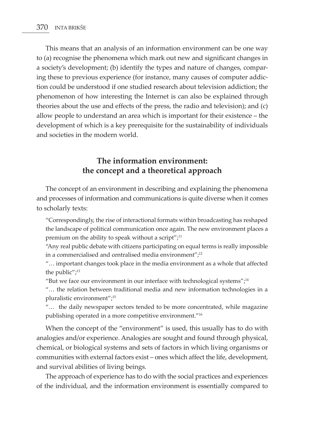This means that an analysis of an information environment can be one way to (a) recognise the phenomena which mark out new and significant changes in a society's development; (b) identify the types and nature of changes, comparing these to previous experience (for instance, many causes of computer addiction could be understood if one studied research about television addiction; the phenomenon of how interesting the Internet is can also be explained through theories about the use and effects of the press, the radio and television); and (c) allow people to understand an area which is important for their existence – the development of which is a key prerequisite for the sustainability of individuals and societies in the modern world.

## **The information environment: the concept and a theoretical approach**

The concept of an environment in describing and explaining the phenomena and processes of information and communications is quite diverse when it comes to scholarly texts:

"Correspondingly, the rise of interactional formats within broadcasting has reshaped the landscape of political communication once again. The new environment places a premium on the ability to speak without a script"; $^{11}$ 

"Any real public debate with citizens participating on equal terms is really impossible in a commercialised and centralised media environment"; $12$ 

"… important changes took place in the media environment as a whole that affected the public"; $13$ 

"But we face our environment in our interface with technological systems"; $^{14}$ 

"… the relation between traditional media and new information technologies in a pluralistic environment";15

"… the daily newspaper sectors tended to be more concentrated, while magazine publishing operated in a more competitive environment."16

When the concept of the "environment" is used, this usually has to do with analogies and/or experience. Analogies are sought and found through physical, chemical, or biological systems and sets of factors in which living organisms or communities with external factors exist – ones which affect the life, development, and survival abilities of living beings.

The approach of experience has to do with the social practices and experiences of the individual, and the information environment is essentially compared to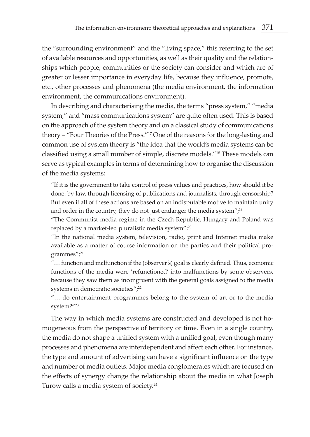the "surrounding environment" and the "living space," this referring to the set of available resources and opportunities, as well as their quality and the relationships which people, communities or the society can consider and which are of greater or lesser importance in everyday life, because they influence, promote, etc., other processes and phenomena (the media environment, the information environment, the communications environment).

In describing and characterising the media, the terms "press system," "media system," and "mass communications system" are quite often used. This is based on the approach of the system theory and on a classical study of communications theory – "Four Theories of the Press."17 One of the reasons for the long-lasting and common use of system theory is "the idea that the world's media systems can be classified using a small number of simple, discrete models."18 These models can serve as typical examples in terms of determining how to organise the discussion of the media systems:

"If it is the government to take control of press values and practices, how should it be done: by law, through licensing of publications and journalists, through censorship? But even if all of these actions are based on an indisputable motive to maintain unity and order in the country, they do not just endanger the media system", $19$ 

"The Communist media regime in the Czech Republic, Hungary and Poland was replaced by a market-led pluralistic media system";<sup>20</sup>

"In the national media system, television, radio, print and Internet media make available as a matter of course information on the parties and their political programmes";<sup>21</sup>

"… function and malfunction if the (observer's) goal is clearly defined. Thus, economic functions of the media were 'refunctioned' into malfunctions by some observers, because they saw them as incongruent with the general goals assigned to the media systems in democratic societies";<sup>22</sup>

"… do entertainment programmes belong to the system of art or to the media system?"23

The way in which media systems are constructed and developed is not homogeneous from the perspective of territory or time. Even in a single country, the media do not shape a unified system with a unified goal, even though many processes and phenomena are interdependent and affect each other. For instance, the type and amount of advertising can have a significant influence on the type and number of media outlets. Major media conglomerates which are focused on the effects of synergy change the relationship about the media in what Joseph Turow calls a media system of society.24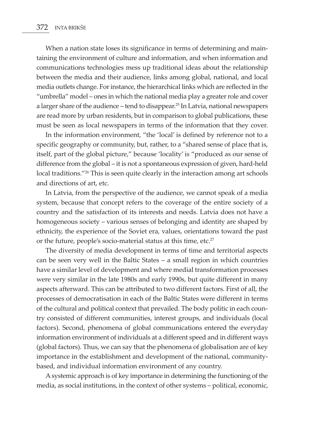When a nation state loses its significance in terms of determining and maintaining the environment of culture and information, and when information and communications technologies mess up traditional ideas about the relationship between the media and their audience, links among global, national, and local media outlets change. For instance, the hierarchical links which are reflected in the "umbrella" model – ones in which the national media play a greater role and cover a larger share of the audience – tend to disappear.25 In Latvia, national newspapers are read more by urban residents, but in comparison to global publications, these must be seen as local newspapers in terms of the information that they cover.

In the information environment, "the 'local' is defined by reference not to a specific geography or community, but, rather, to a "shared sense of place that is, itself, part of the global picture," because 'locality' is "produced as our sense of difference from the global – it is not a spontaneous expression of given, hard-held local traditions."<sup>26</sup> This is seen quite clearly in the interaction among art schools and directions of art, etc.

In Latvia, from the perspective of the audience, we cannot speak of a media system, because that concept refers to the coverage of the entire society of a country and the satisfaction of its interests and needs. Latvia does not have a homogeneous society – various senses of belonging and identity are shaped by ethnicity, the experience of the Soviet era, values, orientations toward the past or the future, people's socio-material status at this time, etc.<sup>27</sup>

The diversity of media development in terms of time and territorial aspects can be seen very well in the Baltic States – a small region in which countries have a similar level of development and where medial transformation processes were very similar in the late 1980s and early 1990s, but quite different in many aspects afterward. This can be attributed to two different factors. First of all, the processes of democratisation in each of the Baltic States were different in terms of the cultural and political context that prevailed. The body politic in each country consisted of different communities, interest groups, and individuals (local factors). Second, phenomena of global communications entered the everyday information environment of individuals at a different speed and in different ways (global factors). Thus, we can say that the phenomena of globalisation are of key importance in the establishment and development of the national, communitybased, and individual information environment of any country.

A systemic approach is of key importance in determining the functioning of the media, as social institutions, in the context of other systems – political, economic,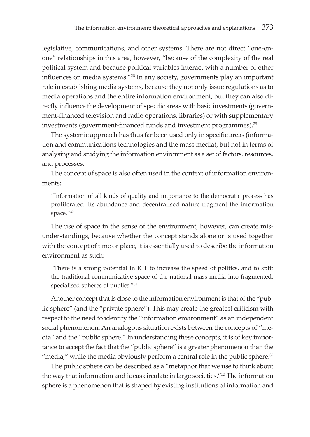legislative, communications, and other systems. There are not direct "one-onone" relationships in this area, however, "because of the complexity of the real political system and because political variables interact with a number of other influences on media systems."28 In any society, governments play an important role in establishing media systems, because they not only issue regulations as to media operations and the entire information environment, but they can also directly influence the development of specific areas with basic investments (government-financed television and radio operations, libraries) or with supplementary investments (government-financed funds and investment programmes).<sup>29</sup>

The systemic approach has thus far been used only in specific areas (information and communications technologies and the mass media), but not in terms of analysing and studying the information environment as a set of factors, resources, and processes.

The concept of space is also often used in the context of information environments:

"Information of all kinds of quality and importance to the democratic process has proliferated. Its abundance and decentralised nature fragment the information space."30

The use of space in the sense of the environment, however, can create misunderstandings, because whether the concept stands alone or is used together with the concept of time or place, it is essentially used to describe the information environment as such:

"There is a strong potential in ICT to increase the speed of politics, and to split the traditional communicative space of the national mass media into fragmented, specialised spheres of publics."31

Another concept that is close to the information environment is that of the "public sphere" (and the "private sphere"). This may create the greatest criticism with respect to the need to identify the "information environment" as an independent social phenomenon. An analogous situation exists between the concepts of "media" and the "public sphere." In understanding these concepts, it is of key importance to accept the fact that the "public sphere" is a greater phenomenon than the "media," while the media obviously perform a central role in the public sphere. $32$ 

The public sphere can be described as a "metaphor that we use to think about the way that information and ideas circulate in large societies."33 The information sphere is a phenomenon that is shaped by existing institutions of information and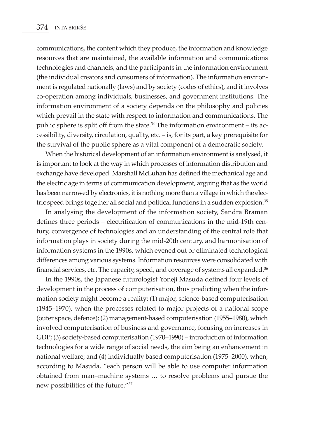communications, the content which they produce, the information and knowledge resources that are maintained, the available information and communications technologies and channels, and the participants in the information environment (the individual creators and consumers of information). The information environment is regulated nationally (laws) and by society (codes of ethics), and it involves co-operation among individuals, businesses, and government institutions. The information environment of a society depends on the philosophy and policies which prevail in the state with respect to information and communications. The public sphere is split off from the state. $34$  The information environment – its accessibility, diversity, circulation, quality, etc. – is, for its part, a key prerequisite for the survival of the public sphere as a vital component of a democratic society.

When the historical development of an information environment is analysed, it is important to look at the way in which processes of information distribution and exchange have developed. Marshall McLuhan has defined the mechanical age and the electric age in terms of communication development, arguing that as the world has been narrowed by electronics, it is nothing more than a village in which the electric speed brings together all social and political functions in a sudden explosion.<sup>35</sup>

In analysing the development of the information society, Sandra Braman defines three periods – electrification of communications in the mid-19th century, convergence of technologies and an understanding of the central role that information plays in society during the mid-20th century, and harmonisation of information systems in the 1990s, which evened out or eliminated technological differences among various systems. Information resources were consolidated with financial services, etc. The capacity, speed, and coverage of systems all expanded.<sup>36</sup>

In the 1990s, the Japanese futurologist Yoneji Masuda defined four levels of development in the process of computerisation, thus predicting when the information society might become a reality: (1) major, science-based computerisation (1945–1970), when the processes related to major projects of a national scope (outer space, defence); (2) management-based computerisation (1955–1980), which involved computerisation of business and governance, focusing on increases in GDP; (3) society-based computerisation (1970–1990) – introduction of information technologies for a wide range of social needs, the aim being an enhancement in national welfare; and (4) individually based computerisation (1975–2000), when, according to Masuda, "each person will be able to use computer information obtained from man–machine systems … to resolve problems and pursue the new possibilities of the future."37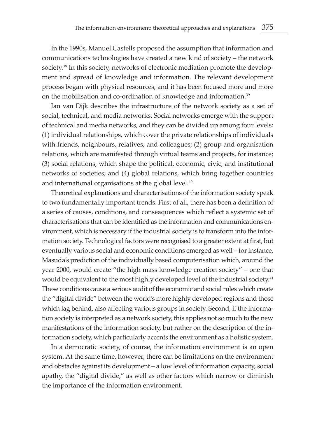In the 1990s, Manuel Castells proposed the assumption that information and communications technologies have created a new kind of society – the network society.<sup>38</sup> In this society, networks of electronic mediation promote the development and spread of knowledge and information. The relevant development process began with physical resources, and it has been focused more and more on the mobilisation and co-ordination of knowledge and information.39

Jan van Dijk describes the infrastructure of the network society as a set of social, technical, and media networks. Social networks emerge with the support of technical and media networks, and they can be divided up among four levels: (1) individual relationships, which cover the private relationships of individuals with friends, neighbours, relatives, and colleagues; (2) group and organisation relations, which are manifested through virtual teams and projects, for instance; (3) social relations, which shape the political, economic, civic, and institutional networks of societies; and (4) global relations, which bring together countries and international organisations at the global level. $40$ 

Theoretical explanations and characterisations of the information society speak to two fundamentally important trends. First of all, there has been a definition of a series of causes, conditions, and conseaquences which reflect a systemic set of characterisations that can be identified as the information and communications environment, which is necessary if the industrial society is to transform into the information society. Technological factors were recognised to a greater extent at first, but eventually various social and economic conditions emerged as well – for instance, Masuda's prediction of the individually based computerisation which, around the year 2000, would create "the high mass knowledge creation society" – one that would be equivalent to the most highly developed level of the industrial society.<sup>41</sup> These conditions cause a serious audit of the economic and social rules which create the "digital divide" between the world's more highly developed regions and those which lag behind, also affecting various groups in society. Second, if the information society is interpreted as a network society, this applies not so much to the new manifestations of the information society, but rather on the description of the information society, which particularly accents the environment as a holistic system.

In a democratic society, of course, the information environment is an open system. At the same time, however, there can be limitations on the environment and obstacles against its development – a low level of information capacity, social apathy, the "digital divide," as well as other factors which narrow or diminish the importance of the information environment.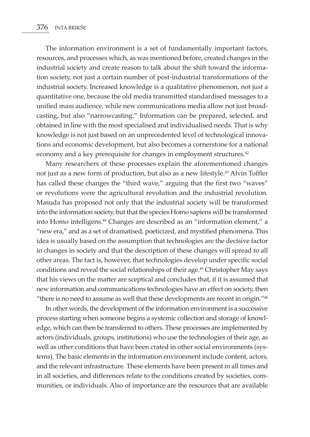The information environment is a set of fundamentally important factors, resources, and processes which, as was mentioned before, created changes in the industrial society and create reason to talk about the shift toward the information society, not just a certain number of post-industrial transformations of the industrial society. Increased knowledge is a qualitative phenomenon, not just a quantitative one, because the old media transmitted standardised messages to a unified mass audience, while new communications media allow not just broadcasting, but also "narrowcasting." Information can be prepared, selected, and obtained in line with the most specialised and individualised needs. That is why knowledge is not just based on an unprecedented level of technological innovations and economic development, but also becomes a cornerstone for a national economy and a key prerequisite for changes in employment structures.<sup>42</sup>

Many researchers of these processes explain the aforementioned changes not just as a new form of production, but also as a new lifestyle.<sup>43</sup> Alvin Toffler has called these changes the "third wave," arguing that the first two "waves" or revolutions were the agricultural revolution and the industrial revolution. Masuda has proposed not only that the industrial society will be transformed into the information society, but that the species Homo sapiens will be transformed into Homo intelligens.<sup>44</sup> Changes are described as an "information element," a "new era," and as a set of dramatised, poeticized, and mystified phenomena. This idea is usually based on the assumption that technologies are the decisive factor in changes in society and that the description of these changes will spread to all other areas. The fact is, however, that technologies develop under specific social conditions and reveal the social relationships of their age.<sup>45</sup> Christopher May says that his views on the matter are sceptical and concludes that, if it is assumed that new information and communications technologies have an effect on society, then "there is no need to assume as well that these developments are recent in origin."46

In other words, the development of the information environment is a successive process starting when someone begins a systemic collection and storage of knowledge, which can then be transferred to others. These processes are implemented by actors (individuals, groups, institutions) who use the technologies of their age, as well as other conditions that have been crated in other social environments (systems). The basic elements in the information environment include content, actors, and the relevant infrastructure. These elements have been present in all times and in all societies, and differences relate to the conditions created by societies, communities, or individuals. Also of importance are the resources that are available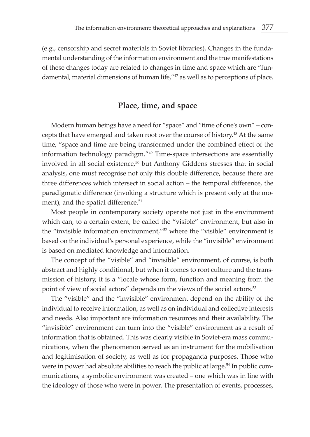(e.g., censorship and secret materials in Soviet libraries). Changes in the fundamental understanding of the information environment and the true manifestations of these changes today are related to changes in time and space which are "fundamental, material dimensions of human life,"<sup>47</sup> as well as to perceptions of place.

#### **Place, time, and space**

Modern human beings have a need for "space" and "time of one's own" – concepts that have emerged and taken root over the course of history.<sup>48</sup> At the same time, "space and time are being transformed under the combined effect of the information technology paradigm."49 Time-space intersections are essentially involved in all social existence,<sup>50</sup> but Anthony Giddens stresses that in social analysis, one must recognise not only this double difference, because there are three differences which intersect in social action – the temporal difference, the paradigmatic difference (invoking a structure which is present only at the moment), and the spatial difference.<sup>51</sup>

Most people in contemporary society operate not just in the environment which can, to a certain extent, be called the "visible" environment, but also in the "invisible information environment,"52 where the "visible" environment is based on the individual's personal experience, while the "invisible" environment is based on mediated knowledge and information.

The concept of the "visible" and "invisible" environment, of course, is both abstract and highly conditional, but when it comes to root culture and the transmission of history, it is a "locale whose form, function and meaning from the point of view of social actors" depends on the views of the social actors.<sup>53</sup>

The "visible" and the "invisible" environment depend on the ability of the individual to receive information, as well as on individual and collective interests and needs. Also important are information resources and their availability. The "invisible" environment can turn into the "visible" environment as a result of information that is obtained. This was clearly visible in Soviet-era mass communications, when the phenomenon served as an instrument for the mobilisation and legitimisation of society, as well as for propaganda purposes. Those who were in power had absolute abilities to reach the public at large.<sup>54</sup> In public communications, a symbolic environment was created – one which was in line with the ideology of those who were in power. The presentation of events, processes,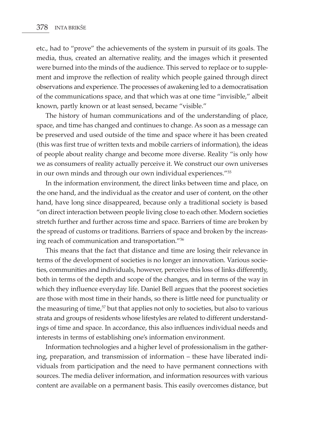etc., had to "prove" the achievements of the system in pursuit of its goals. The media, thus, created an alternative reality, and the images which it presented were burned into the minds of the audience. This served to replace or to supplement and improve the reflection of reality which people gained through direct observations and experience. The processes of awakening led to a democratisation of the communications space, and that which was at one time "invisible," albeit known, partly known or at least sensed, became "visible."

The history of human communications and of the understanding of place, space, and time has changed and continues to change. As soon as a message can be preserved and used outside of the time and space where it has been created (this was first true of written texts and mobile carriers of information), the ideas of people about reality change and become more diverse. Reality "is only how we as consumers of reality actually perceive it. We construct our own universes in our own minds and through our own individual experiences."55

In the information environment, the direct links between time and place, on the one hand, and the individual as the creator and user of content, on the other hand, have long since disappeared, because only a traditional society is based "on direct interaction between people living close to each other. Modern societies stretch further and further across time and space. Barriers of time are broken by the spread of customs or traditions. Barriers of space and broken by the increasing reach of communication and transportation."56

This means that the fact that distance and time are losing their relevance in terms of the development of societies is no longer an innovation. Various societies, communities and individuals, however, perceive this loss of links differently, both in terms of the depth and scope of the changes, and in terms of the way in which they influence everyday life. Daniel Bell argues that the poorest societies are those with most time in their hands, so there is little need for punctuality or the measuring of time, $57$  but that applies not only to societies, but also to various strata and groups of residents whose lifestyles are related to different understandings of time and space. In accordance, this also influences individual needs and interests in terms of establishing one's information environment.

Information technologies and a higher level of professionalism in the gathering, preparation, and transmission of information – these have liberated individuals from participation and the need to have permanent connections with sources. The media deliver information, and information resources with various content are available on a permanent basis. This easily overcomes distance, but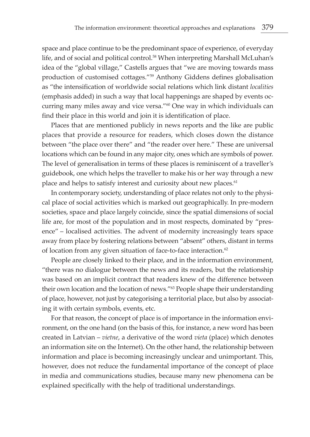space and place continue to be the predominant space of experience, of everyday life, and of social and political control.<sup>58</sup> When interpreting Marshall McLuhan's idea of the "global village," Castells argues that "we are moving towards mass production of customised cottages."59 Anthony Giddens defines globalisation as "the intensification of worldwide social relations which link distant *localities*  (emphasis added) in such a way that local happenings are shaped by events occurring many miles away and vice versa."60 One way in which individuals can find their place in this world and join it is identification of place.

Places that are mentioned publicly in news reports and the like are public places that provide a resource for readers, which closes down the distance between "the place over there" and "the reader over here." These are universal locations which can be found in any major city, ones which are symbols of power. The level of generalisation in terms of these places is reminiscent of a traveller's guidebook, one which helps the traveller to make his or her way through a new place and helps to satisfy interest and curiosity about new places.<sup>61</sup>

In contemporary society, understanding of place relates not only to the physical place of social activities which is marked out geographically. In pre-modern societies, space and place largely coincide, since the spatial dimensions of social life are, for most of the population and in most respects, dominated by "presence" – localised activities. The advent of modernity increasingly tears space away from place by fostering relations between "absent" others, distant in terms of location from any given situation of face-to-face interaction.<sup>62</sup>

People are closely linked to their place, and in the information environment, "there was no dialogue between the news and its readers, but the relationship was based on an implicit contract that readers knew of the difference between their own location and the location of news."63 People shape their understanding of place, however, not just by categorising a territorial place, but also by associating it with certain symbols, events, etc.

For that reason, the concept of place is of importance in the information environment, on the one hand (on the basis of this, for instance, a new word has been created in Latvian – *vietne*, a derivative of the word *vieta* (place) which denotes an information site on the Internet). On the other hand, the relationship between information and place is becoming increasingly unclear and unimportant. This, however, does not reduce the fundamental importance of the concept of place in media and communications studies, because many new phenomena can be explained specifically with the help of traditional understandings.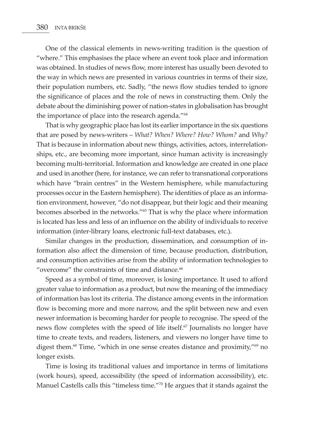One of the classical elements in news-writing tradition is the question of "where." This emphasises the place where an event took place and information was obtained. In studies of news flow, more interest has usually been devoted to the way in which news are presented in various countries in terms of their size, their population numbers, etc. Sadly, "the news flow studies tended to ignore the significance of places and the role of news in constructing them. Only the debate about the diminishing power of nation-states in globalisation has brought the importance of place into the research agenda."<sup>64</sup>

That is why geographic place has lost its earlier importance in the six questions that are posed by news-writers – *What? When? Where? How? Whom?* and *Why?* That is because in information about new things, activities, actors, interrelationships, etc., are becoming more important, since human activity is increasingly becoming multi-territorial. Information and knowledge are created in one place and used in another (here, for instance, we can refer to transnational corporations which have "brain centres" in the Western hemisphere, while manufacturing processes occur in the Eastern hemisphere). The identities of place as an information environment, however, "do not disappear, but their logic and their meaning becomes absorbed in the networks."65 That is why the place where information is located has less and less of an influence on the ability of individuals to receive information (inter-library loans, electronic full-text databases, etc.).

Similar changes in the production, dissemination, and consumption of information also affect the dimension of time, because production, distribution, and consumption activities arise from the ability of information technologies to "overcome" the constraints of time and distance.<sup>66</sup>

Speed as a symbol of time, moreover, is losing importance. It used to afford greater value to information as a product, but now the meaning of the immediacy of information has lost its criteria. The distance among events in the information flow is becoming more and more narrow, and the split between new and even newer information is becoming harder for people to recognise. The speed of the news flow completes with the speed of life itself.<sup>67</sup> Journalists no longer have time to create texts, and readers, listeners, and viewers no longer have time to digest them.<sup>68</sup> Time, "which in one sense creates distance and proximity,"<sup>69</sup> no longer exists.

Time is losing its traditional values and importance in terms of limitations (work hours), speed, accessibility (the speed of information accessibility), etc. Manuel Castells calls this "timeless time."70 He argues that it stands against the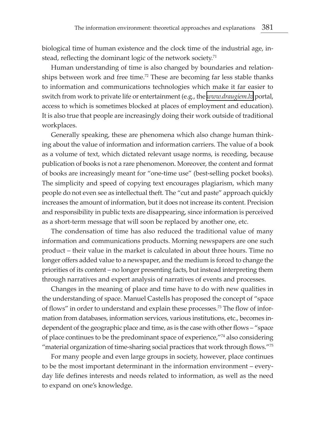biological time of human existence and the clock time of the industrial age, instead, reflecting the dominant logic of the network society.<sup>71</sup>

Human understanding of time is also changed by boundaries and relationships between work and free time.72 These are becoming far less stable thanks to information and communications technologies which make it far easier to switch from work to private life or entertainment (e.g., the *[www.draugiem.lv](http://www.draugiem.lv)* portal, access to which is sometimes blocked at places of employment and education). It is also true that people are increasingly doing their work outside of traditional workplaces.

Generally speaking, these are phenomena which also change human thinking about the value of information and information carriers. The value of a book as a volume of text, which dictated relevant usage norms, is receding, because publication of books is not a rare phenomenon. Moreover, the content and format of books are increasingly meant for "one-time use" (best-selling pocket books). The simplicity and speed of copying text encourages plagiarism, which many people do not even see as intellectual theft. The "cut and paste" approach quickly increases the amount of information, but it does not increase its content. Precision and responsibility in public texts are disappearing, since information is perceived as a short-term message that will soon be replaced by another one, etc.

The condensation of time has also reduced the traditional value of many information and communications products. Morning newspapers are one such product – their value in the market is calculated in about three hours. Time no longer offers added value to a newspaper, and the medium is forced to change the priorities of its content – no longer presenting facts, but instead interpreting them through narratives and expert analysis of narratives of events and processes.

Changes in the meaning of place and time have to do with new qualities in the understanding of space. Manuel Castells has proposed the concept of "space of flows" in order to understand and explain these processes.73 The flow of information from databases, information services, various institutions, etc., becomes independent of the geographic place and time, as is the case with other flows – "space of place continues to be the predominant space of experience,"74 also considering "material organization of time-sharing social practices that work through flows."75

For many people and even large groups in society, however, place continues to be the most important determinant in the information environment – everyday life defines interests and needs related to information, as well as the need to expand on one's knowledge.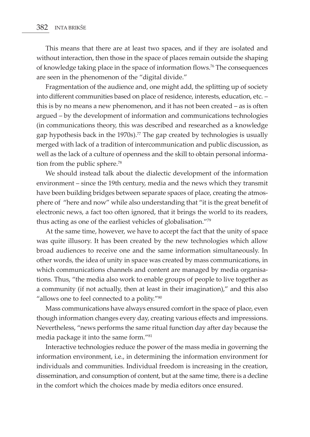This means that there are at least two spaces, and if they are isolated and without interaction, then those in the space of places remain outside the shaping of knowledge taking place in the space of information flows.76 The consequences are seen in the phenomenon of the "digital divide."

Fragmentation of the audience and, one might add, the splitting up of society into different communities based on place of residence, interests, education, etc. – this is by no means a new phenomenon, and it has not been created – as is often argued – by the development of information and communications technologies (in communications theory, this was described and researched as a knowledge gap hypothesis back in the 1970s).<sup>77</sup> The gap created by technologies is usually merged with lack of a tradition of intercommunication and public discussion, as well as the lack of a culture of openness and the skill to obtain personal information from the public sphere.<sup>78</sup>

We should instead talk about the dialectic development of the information environment – since the 19th century, media and the news which they transmit have been building bridges between separate spaces of place, creating the atmosphere of "here and now" while also understanding that "it is the great benefit of electronic news, a fact too often ignored, that it brings the world to its readers, thus acting as one of the earliest vehicles of globalisation."79

At the same time, however, we have to accept the fact that the unity of space was quite illusory. It has been created by the new technologies which allow broad audiences to receive one and the same information simultaneously. In other words, the idea of unity in space was created by mass communications, in which communications channels and content are managed by media organisations. Thus, "the media also work to enable groups of people to live together as a community (if not actually, then at least in their imagination)," and this also "allows one to feel connected to a polity."<sup>80</sup>

Mass communications have always ensured comfort in the space of place, even though information changes every day, creating various effects and impressions. Nevertheless, "news performs the same ritual function day after day because the media package it into the same form."81

Interactive technologies reduce the power of the mass media in governing the information environment, i.e., in determining the information environment for individuals and communities. Individual freedom is increasing in the creation, dissemination, and consumption of content, but at the same time, there is a decline in the comfort which the choices made by media editors once ensured.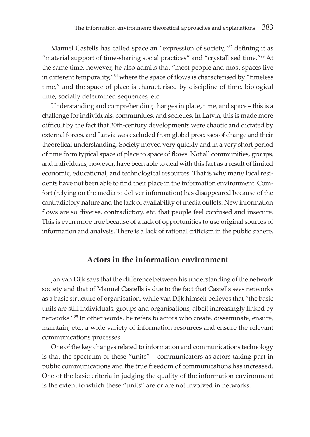Manuel Castells has called space an "expression of society,"<sup>82</sup> defining it as "material support of time-sharing social practices" and "crystallised time."83 At the same time, however, he also admits that "most people and most spaces live in different temporality,"84 where the space of flows is characterised by "timeless time," and the space of place is characterised by discipline of time, biological time, socially determined sequences, etc.

Understanding and comprehending changes in place, time, and space – this is a challenge for individuals, communities, and societies. In Latvia, this is made more difficult by the fact that 20th-century developments were chaotic and dictated by external forces, and Latvia was excluded from global processes of change and their theoretical understanding. Society moved very quickly and in a very short period of time from typical space of place to space of flows. Not all communities, groups, and individuals, however, have been able to deal with this fact as a result of limited economic, educational, and technological resources. That is why many local residents have not been able to find their place in the information environment. Comfort (relying on the media to deliver information) has disappeared because of the contradictory nature and the lack of availability of media outlets. New information flows are so diverse, contradictory, etc. that people feel confused and insecure. This is even more true because of a lack of opportunities to use original sources of information and analysis. There is a lack of rational criticism in the public sphere.

### **Actors in the information environment**

Jan van Dijk says that the difference between his understanding of the network society and that of Manuel Castells is due to the fact that Castells sees networks as a basic structure of organisation, while van Dijk himself believes that "the basic units are still individuals, groups and organisations, albeit increasingly linked by networks."85 In other words, he refers to actors who create, disseminate, ensure, maintain, etc., a wide variety of information resources and ensure the relevant communications processes.

One of the key changes related to information and communications technology is that the spectrum of these "units" – communicators as actors taking part in public communications and the true freedom of communications has increased. One of the basic criteria in judging the quality of the information environment is the extent to which these "units" are or are not involved in networks.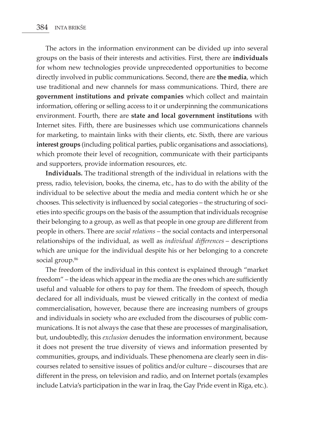The actors in the information environment can be divided up into several groups on the basis of their interests and activities. First, there are **individuals**  for whom new technologies provide unprecedented opportunities to become directly involved in public communications. Second, there are **the media**, which use traditional and new channels for mass communications. Third, there are **government institutions and private companies** which collect and maintain information, offering or selling access to it or underpinning the communications environment. Fourth, there are **state and local government institutions** with Internet sites. Fifth, there are businesses which use communications channels for marketing, to maintain links with their clients, etc. Sixth, there are various **interest groups** (including political parties, public organisations and associations), which promote their level of recognition, communicate with their participants and supporters, provide information resources, etc.

**Individuals.** The traditional strength of the individual in relations with the press, radio, television, books, the cinema, etc., has to do with the ability of the individual to be selective about the media and media content which he or she chooses. This selectivity is influenced by social categories – the structuring of societies into specific groups on the basis of the assumption that individuals recognise their belonging to a group, as well as that people in one group are different from people in others. There are *social relations* – the social contacts and interpersonal relationships of the individual, as well as *individual differences* – descriptions which are unique for the individual despite his or her belonging to a concrete social group.<sup>86</sup>

The freedom of the individual in this context is explained through "market freedom" – the ideas which appear in the media are the ones which are sufficiently useful and valuable for others to pay for them. The freedom of speech, though declared for all individuals, must be viewed critically in the context of media commercialisation, however, because there are increasing numbers of groups and individuals in society who are excluded from the discourses of public communications. It is not always the case that these are processes of marginalisation, but, undoubtedly, this *exclusion* denudes the information environment, because it does not present the true diversity of views and information presented by communities, groups, and individuals. These phenomena are clearly seen in discourses related to sensitive issues of politics and/or culture – discourses that are different in the press, on television and radio, and on Internet portals (examples include Latvia's participation in the war in Iraq, the Gay Pride event in Rīga, etc.).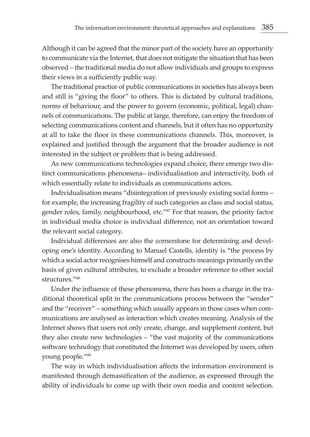Although it can be agreed that the minor part of the society have an opportunity to communicate via the Internet, that does not mitigate the situation that has been observed – the traditional media do not allow individuals and groups to express their views in a sufficiently public way.

The traditional practice of public communications in societies has always been and still is "giving the floor" to others. This is dictated by cultural traditions, norms of behaviour, and the power to govern (economic, political, legal) channels of communications. The public at large, therefore, can enjoy the freedom of selecting communications content and channels, but it often has no opportunity at all to take the floor in these communications channels. This, moreover, is explained and justified through the argument that the broader audience is not interested in the subject or problem that is being addressed.

As new communications technologies expand choice, there emerge two distinct communications phenomena– individualisation and interactivity, both of which essentially relate to individuals as communications actors.

Individualisation means "disintegration of previously existing social forms – for example, the increasing fragility of such categories as class and social status, gender roles, family, neighbourhood, etc."87 For that reason, the priority factor in individual media choice is individual difference, not an orientation toward the relevant social category.

Individual differences are also the cornerstone for determining and developing one's identity. According to Manuel Castells, identity is "the process by which a social actor recognises himself and constructs meanings primarily on the basis of given cultural attributes, to exclude a broader reference to other social structures<sup>"88</sup>

Under the influence of these phenomena, there has been a change in the traditional theoretical split in the communications process between the "sender" and the "receiver" – something which usually appears in those cases when communications are analysed as interaction which creates meaning. Analysis of the Internet shows that users not only create, change, and supplement content, but they also create new technologies – "the vast majority of the communications software technology that constituted the Internet was developed by users, often young people."89

The way in which individualisation affects the information environment is manifested through demassification of the audience, as expressed through the ability of individuals to come up with their own media and content selection.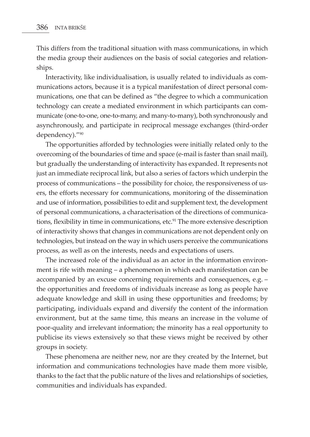This differs from the traditional situation with mass communications, in which the media group their audiences on the basis of social categories and relationships.

Interactivity, like individualisation, is usually related to individuals as communications actors, because it is a typical manifestation of direct personal communications, one that can be defined as "the degree to which a communication technology can create a mediated environment in which participants can communicate (one-to-one, one-to-many, and many-to-many), both synchronously and asynchronously, and participate in reciprocal message exchanges (third-order dependency)."90

The opportunities afforded by technologies were initially related only to the overcoming of the boundaries of time and space (e-mail is faster than snail mail), but gradually the understanding of interactivity has expanded. It represents not just an immediate reciprocal link, but also a series of factors which underpin the process of communications – the possibility for choice, the responsiveness of users, the efforts necessary for communications, monitoring of the dissemination and use of information, possibilities to edit and supplement text, the development of personal communications, a characterisation of the directions of communications, flexibility in time in communications, etc.<sup>91</sup> The more extensive description of interactivity shows that changes in communications are not dependent only on technologies, but instead on the way in which users perceive the communications process, as well as on the interests, needs and expectations of users.

The increased role of the individual as an actor in the information environment is rife with meaning – a phenomenon in which each manifestation can be accompanied by an excuse concerning requirements and consequences, e.g. – the opportunities and freedoms of individuals increase as long as people have adequate knowledge and skill in using these opportunities and freedoms; by participating, individuals expand and diversify the content of the information environment, but at the same time, this means an increase in the volume of poor-quality and irrelevant information; the minority has a real opportunity to publicise its views extensively so that these views might be received by other groups in society.

These phenomena are neither new, nor are they created by the Internet, but information and communications technologies have made them more visible, thanks to the fact that the public nature of the lives and relationships of societies, communities and individuals has expanded.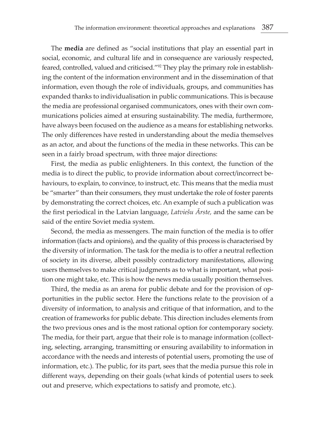The **media** are defined as "social institutions that play an essential part in social, economic, and cultural life and in consequence are variously respected, feared, controlled, valued and criticised."92 They play the primary role in establishing the content of the information environment and in the dissemination of that information, even though the role of individuals, groups, and communities has expanded thanks to individualisation in public communications. This is because the media are professional organised communicators, ones with their own communications policies aimed at ensuring sustainability. The media, furthermore, have always been focused on the audience as a means for establishing networks. The only differences have rested in understanding about the media themselves as an actor, and about the functions of the media in these networks. This can be seen in a fairly broad spectrum, with three major directions:

First, the media as public enlighteners. In this context, the function of the media is to direct the public, to provide information about correct/incorrect behaviours, to explain, to convince, to instruct, etc. This means that the media must be "smarter" than their consumers, they must undertake the role of foster parents by demonstrating the correct choices, etc. An example of such a publication was the first periodical in the Latvian language, *Latviešu Ārste,* and the same can be said of the entire Soviet media system.

Second, the media as messengers. The main function of the media is to offer information (facts and opinions), and the quality of this process is characterised by the diversity of information. The task for the media is to offer a neutral reflection of society in its diverse, albeit possibly contradictory manifestations, allowing users themselves to make critical judgments as to what is important, what position one might take, etc. This is how the news media usually position themselves.

Third, the media as an arena for public debate and for the provision of opportunities in the public sector. Here the functions relate to the provision of a diversity of information, to analysis and critique of that information, and to the creation of frameworks for public debate. This direction includes elements from the two previous ones and is the most rational option for contemporary society. The media, for their part, argue that their role is to manage information (collecting, selecting, arranging, transmitting or ensuring availability to information in accordance with the needs and interests of potential users, promoting the use of information, etc.). The public, for its part, sees that the media pursue this role in different ways, depending on their goals (what kinds of potential users to seek out and preserve, which expectations to satisfy and promote, etc.).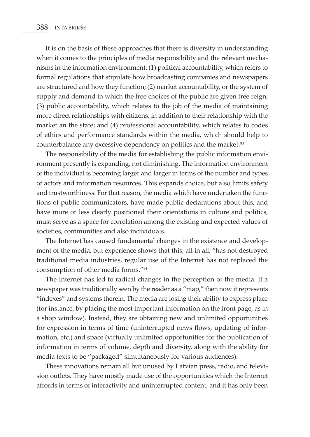It is on the basis of these approaches that there is diversity in understanding when it comes to the principles of media responsibility and the relevant mechanisms in the information environment: (1) political accountability, which refers to formal regulations that stipulate how broadcasting companies and newspapers are structured and how they function; (2) market accountability, or the system of supply and demand in which the free choices of the public are given free reign; (3) public accountability, which relates to the job of the media of maintaining more direct relationships with citizens, in addition to their relationship with the market an the state; and (4) professional accountability, which relates to codes of ethics and performance standards within the media, which should help to counterbalance any excessive dependency on politics and the market.<sup>93</sup>

The responsibility of the media for establishing the public information environment presently is expanding, not diminishing. The information environment of the individual is becoming larger and larger in terms of the number and types of actors and information resources. This expands choice, but also limits safety and trustworthiness. For that reason, the media which have undertaken the functions of public communicators, have made public declarations about this, and have more or less clearly positioned their orientations in culture and politics, must serve as a space for correlation among the existing and expected values of societies, communities and also individuals.

The Internet has caused fundamental changes in the existence and development of the media, but experience shows that this, all in all, "has not destroyed traditional media industries, regular use of the Internet has not replaced the consumption of other media forms."94

The Internet has led to radical changes in the perception of the media. If a newspaper was traditionally seen by the reader as a "map," then now it represents "indexes" and systems therein. The media are losing their ability to express place (for instance, by placing the most important information on the front page, as in a shop window). Instead, they are obtaining new and unlimited opportunities for expression in terms of time (uninterrupted news flows, updating of information, etc.) and space (virtually unlimited opportunities for the publication of information in terms of volume, depth and diversity, along with the ability for media texts to be "packaged" simultaneously for various audiences).

These innovations remain all but unused by Latvian press, radio, and television outlets. They have mostly made use of the opportunities which the Internet affords in terms of interactivity and uninterrupted content, and it has only been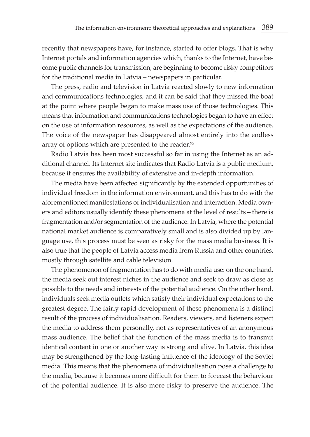recently that newspapers have, for instance, started to offer blogs. That is why Internet portals and information agencies which, thanks to the Internet, have become public channels for transmission, are beginning to become risky competitors for the traditional media in Latvia – newspapers in particular.

The press, radio and television in Latvia reacted slowly to new information and communications technologies, and it can be said that they missed the boat at the point where people began to make mass use of those technologies. This means that information and communications technologies began to have an effect on the use of information resources, as well as the expectations of the audience. The voice of the newspaper has disappeared almost entirely into the endless array of options which are presented to the reader.<sup>95</sup>

Radio Latvia has been most successful so far in using the Internet as an additional channel. Its Internet site indicates that Radio Latvia is a public medium, because it ensures the availability of extensive and in-depth information.

The media have been affected significantly by the extended opportunities of individual freedom in the information environment, and this has to do with the aforementioned manifestations of individualisation and interaction. Media owners and editors usually identify these phenomena at the level of results – there is fragmentation and/or segmentation of the audience. In Latvia, where the potential national market audience is comparatively small and is also divided up by language use, this process must be seen as risky for the mass media business. It is also true that the people of Latvia access media from Russia and other countries, mostly through satellite and cable television.

The phenomenon of fragmentation has to do with media use: on the one hand, the media seek out interest niches in the audience and seek to draw as close as possible to the needs and interests of the potential audience. On the other hand, individuals seek media outlets which satisfy their individual expectations to the greatest degree. The fairly rapid development of these phenomena is a distinct result of the process of individualisation. Readers, viewers, and listeners expect the media to address them personally, not as representatives of an anonymous mass audience. The belief that the function of the mass media is to transmit identical content in one or another way is strong and alive. In Latvia, this idea may be strengthened by the long-lasting influence of the ideology of the Soviet media. This means that the phenomena of individualisation pose a challenge to the media, because it becomes more difficult for them to forecast the behaviour of the potential audience. It is also more risky to preserve the audience. The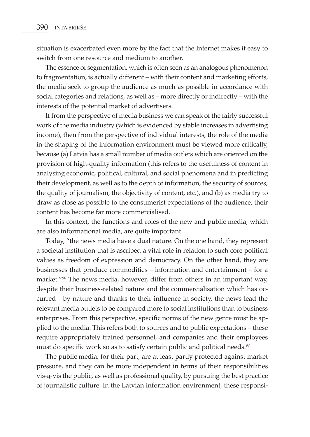situation is exacerbated even more by the fact that the Internet makes it easy to switch from one resource and medium to another.

The essence of segmentation, which is often seen as an analogous phenomenon to fragmentation, is actually different – with their content and marketing efforts, the media seek to group the audience as much as possible in accordance with social categories and relations, as well as – more directly or indirectly – with the interests of the potential market of advertisers.

If from the perspective of media business we can speak of the fairly successful work of the media industry (which is evidenced by stable increases in advertising income), then from the perspective of individual interests, the role of the media in the shaping of the information environment must be viewed more critically, because (a) Latvia has a small number of media outlets which are oriented on the provision of high-quality information (this refers to the usefulness of content in analysing economic, political, cultural, and social phenomena and in predicting their development, as well as to the depth of information, the security of sources, the quality of journalism, the objectivity of content, etc.), and (b) as media try to draw as close as possible to the consumerist expectations of the audience, their content has become far more commercialised.

In this context, the functions and roles of the new and public media, which are also informational media, are quite important.

Today, "the news media have a dual nature. On the one hand, they represent a societal institution that is ascribed a vital role in relation to such core political values as freedom of expression and democracy. On the other hand, they are businesses that produce commodities – information and entertainment – for a market."<sup>96</sup> The news media, however, differ from others in an important way, despite their business-related nature and the commercialisation which has occurred – by nature and thanks to their influence in society, the news lead the relevant media outlets to be compared more to social institutions than to business enterprises. From this perspective, specific norms of the new genre must be applied to the media. This refers both to sources and to public expectations – these require appropriately trained personnel, and companies and their employees must do specific work so as to satisfy certain public and political needs.<sup>97</sup>

The public media, for their part, are at least partly protected against market pressure, and they can be more independent in terms of their responsibilities vis-ą-vis the public, as well as professional quality, by pursuing the best practice of journalistic culture. In the Latvian information environment, these responsi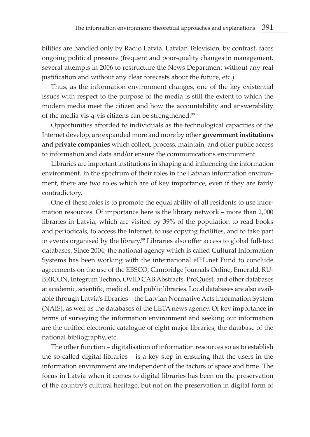bilities are handled only by Radio Latvia. Latvian Television, by contrast, faces ongoing political pressure (frequent and poor-quality changes in management, several attempts in 2006 to restructure the News Department without any real justification and without any clear forecasts about the future, etc.).

Thus, as the information environment changes, one of the key existential issues with respect to the purpose of the media is still the extent to which the modern media meet the citizen and how the accountability and answerability of the media vis-ą-vis citizens can be strengthened.<sup>98</sup>

Opportunities afforded to individuals as the technological capacities of the Internet develop, are expanded more and more by other **government institutions and private companies** which collect, process, maintain, and offer public access to information and data and/or ensure the communications environment.

Libraries are important institutions in shaping and influencing the information environment. In the spectrum of their roles in the Latvian information environment, there are two roles which are of key importance, even if they are fairly contradictory.

One of these roles is to promote the equal ability of all residents to use information resources. Of importance here is the library network – more than 2,000 libraries in Latvia, which are visited by 39% of the population to read books and periodicals, to access the Internet, to use copying facilities, and to take part in events organised by the library.<sup>99</sup> Libraries also offer access to global full-text databases. Since 2004, the national agency which is called Cultural Information Systems has been working with the international eIFL.net Fund to conclude agreements on the use of the EBSCO, Cambridge Journals Online, Emerald, RU-BRICON, Integrum Techno, OVID CAB Abstracts, ProQuest, and other databases at academic, scientific, medical, and public libraries. Local databases are also available through Latvia's libraries – the Latvian Normative Acts Information System (NAIS), as well as the databases of the LETA news agency. Of key importance in terms of surveying the information environment and seeking out information are the unified electronic catalogue of eight major libraries, the database of the national bibliography, etc.

The other function – digitalisation of information resources so as to establish the so-called digital libraries – is a key step in ensuring that the users in the information environment are independent of the factors of space and time. The focus in Latvia when it comes to digital libraries has been on the preservation of the country's cultural heritage, but not on the preservation in digital form of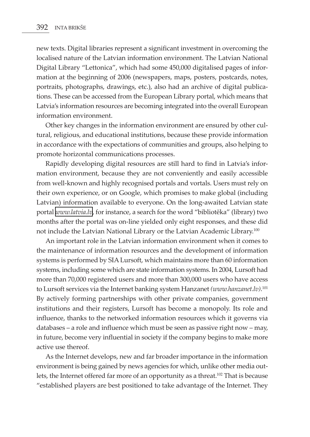new texts. Digital libraries represent a significant investment in overcoming the localised nature of the Latvian information environment. The Latvian National Digital Library "Lettonica", which had some 450,000 digitalised pages of information at the beginning of 2006 (newspapers, maps, posters, postcards, notes, portraits, photographs, drawings, etc.), also had an archive of digital publications. These can be accessed from the European Library portal, which means that Latvia's information resources are becoming integrated into the overall European information environment.

Other key changes in the information environment are ensured by other cultural, religious, and educational institutions, because these provide information in accordance with the expectations of communities and groups, also helping to promote horizontal communications processes.

Rapidly developing digital resources are still hard to find in Latvia's information environment, because they are not conveniently and easily accessible from well-known and highly recognised portals and vortals. Users must rely on their own experience, or on Google, which promises to make global (including Latvian) information available to everyone. On the long-awaited Latvian state portal *[www.latvia.lv](http://www.latvia.lv)*, for instance, a search for the word "bibliotēka" (library) two months after the portal was on-line yielded only eight responses, and these did not include the Latvian National Library or the Latvian Academic Library.<sup>100</sup>

An important role in the Latvian information environment when it comes to the maintenance of information resources and the development of information systems is performed by SIA Lursoft, which maintains more than 60 information systems, including some which are state information systems. In 2004, Lursoft had more than 70,000 registered users and more than 300,000 users who have access to Lursoft services via the Internet banking system Hanzanet *(www.hanzanet.lv)*. 101 By actively forming partnerships with other private companies, government institutions and their registers, Lursoft has become a monopoly. Its role and influence, thanks to the networked information resources which it governs via databases – a role and influence which must be seen as passive right now – may, in future, become very influential in society if the company begins to make more active use thereof.

As the Internet develops, new and far broader importance in the information environment is being gained by news agencies for which, unlike other media outlets, the Internet offered far more of an opportunity as a threat.102 That is because "established players are best positioned to take advantage of the Internet. They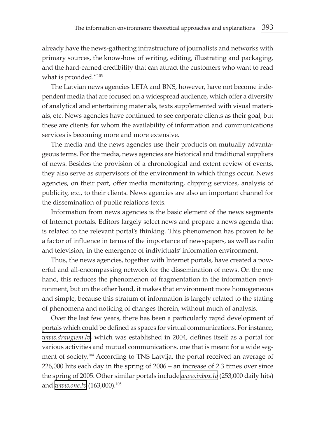already have the news-gathering infrastructure of journalists and networks with primary sources, the know-how of writing, editing, illustrating and packaging, and the hard-earned credibility that can attract the customers who want to read what is provided."<sup>103</sup>

The Latvian news agencies LETA and BNS, however, have not become independent media that are focused on a widespread audience, which offer a diversity of analytical and entertaining materials, texts supplemented with visual materials, etc. News agencies have continued to see corporate clients as their goal, but these are clients for whom the availability of information and communications services is becoming more and more extensive.

The media and the news agencies use their products on mutually advantageous terms. For the media, news agencies are historical and traditional suppliers of news. Besides the provision of a chronological and extent review of events, they also serve as supervisors of the environment in which things occur. News agencies, on their part, offer media monitoring, clipping services, analysis of publicity, etc., to their clients. News agencies are also an important channel for the dissemination of public relations texts.

Information from news agencies is the basic element of the news segments of Internet portals. Editors largely select news and prepare a news agenda that is related to the relevant portal's thinking. This phenomenon has proven to be a factor of influence in terms of the importance of newspapers, as well as radio and television, in the emergence of individuals' information environment.

Thus, the news agencies, together with Internet portals, have created a powerful and all-encompassing network for the dissemination of news. On the one hand, this reduces the phenomenon of fragmentation in the information environment, but on the other hand, it makes that environment more homogeneous and simple, because this stratum of information is largely related to the stating of phenomena and noticing of changes therein, without much of analysis.

Over the last few years, there has been a particularly rapid development of portals which could be defined as spaces for virtual communications. For instance, *[www.draugiem.lv](http://www.draugiem.lv)*, which was established in 2004, defines itself as a portal for various activities and mutual communications, one that is meant for a wide segment of society.104 According to TNS Latvija, the portal received an average of 226,000 hits each day in the spring of 2006 – an increase of 2.3 times over since the spring of 2005. Other similar portals include *[www.inbox.lv](http://www.inbox.lv)* (253,000 daily hits) and *[www.one.lv](http://www.one.lv)* (163,000).105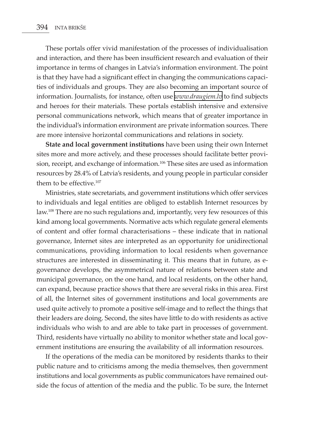These portals offer vivid manifestation of the processes of individualisation and interaction, and there has been insufficient research and evaluation of their importance in terms of changes in Latvia's information environment. The point is that they have had a significant effect in changing the communications capacities of individuals and groups. They are also becoming an important source of information. Journalists, for instance, often use *[www.draugiem.lv](http://www.draugiem.lv)* to find subjects and heroes for their materials. These portals establish intensive and extensive personal communications network, which means that of greater importance in the individual's information environment are private information sources. There are more intensive horizontal communications and relations in society.

**State and local government institutions** have been using their own Internet sites more and more actively, and these processes should facilitate better provision, receipt, and exchange of information.<sup>106</sup> These sites are used as information resources by 28.4% of Latvia's residents, and young people in particular consider them to be effective.107

Ministries, state secretariats, and government institutions which offer services to individuals and legal entities are obliged to establish Internet resources by law.108 There are no such regulations and, importantly, very few resources of this kind among local governments. Normative acts which regulate general elements of content and offer formal characterisations – these indicate that in national governance, Internet sites are interpreted as an opportunity for unidirectional communications, providing information to local residents when governance structures are interested in disseminating it. This means that in future, as egovernance develops, the asymmetrical nature of relations between state and municipal governance, on the one hand, and local residents, on the other hand, can expand, because practice shows that there are several risks in this area. First of all, the Internet sites of government institutions and local governments are used quite actively to promote a positive self-image and to reflect the things that their leaders are doing. Second, the sites have little to do with residents as active individuals who wish to and are able to take part in processes of government. Third, residents have virtually no ability to monitor whether state and local government institutions are ensuring the availability of all information resources.

If the operations of the media can be monitored by residents thanks to their public nature and to criticisms among the media themselves, then government institutions and local governments as public communicators have remained outside the focus of attention of the media and the public. To be sure, the Internet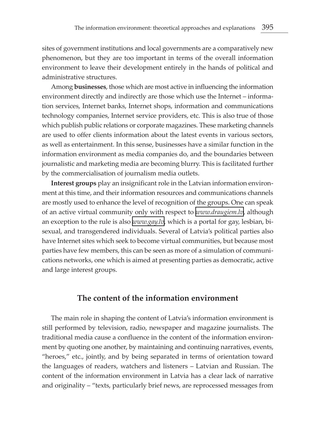sites of government institutions and local governments are a comparatively new phenomenon, but they are too important in terms of the overall information environment to leave their development entirely in the hands of political and administrative structures.

Among **businesses**, those which are most active in influencing the information environment directly and indirectly are those which use the Internet – information services, Internet banks, Internet shops, information and communications technology companies, Internet service providers, etc. This is also true of those which publish public relations or corporate magazines. These marketing channels are used to offer clients information about the latest events in various sectors, as well as entertainment. In this sense, businesses have a similar function in the information environment as media companies do, and the boundaries between journalistic and marketing media are becoming blurry. This is facilitated further by the commercialisation of journalism media outlets.

**Interest groups** play an insignificant role in the Latvian information environment at this time, and their information resources and communications channels are mostly used to enhance the level of recognition of the groups. One can speak of an active virtual community only with respect to *[www.draugiem.lv](http://www.draugiem.lv)*, although an exception to the rule is also *[www.gay.lv](http://www.gay.lv)*, which is a portal for gay, lesbian, bisexual, and transgendered individuals. Several of Latvia's political parties also have Internet sites which seek to become virtual communities, but because most parties have few members, this can be seen as more of a simulation of communications networks, one which is aimed at presenting parties as democratic, active and large interest groups.

### **The content of the information environment**

The main role in shaping the content of Latvia's information environment is still performed by television, radio, newspaper and magazine journalists. The traditional media cause a confluence in the content of the information environment by quoting one another, by maintaining and continuing narratives, events, "heroes," etc., jointly, and by being separated in terms of orientation toward the languages of readers, watchers and listeners – Latvian and Russian. The content of the information environment in Latvia has a clear lack of narrative and originality – "texts, particularly brief news, are reprocessed messages from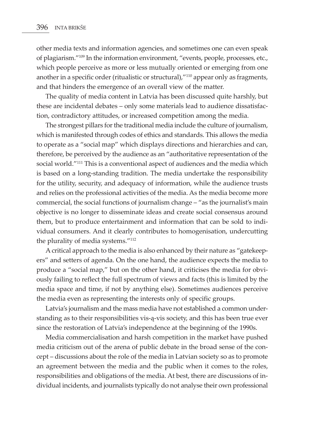other media texts and information agencies, and sometimes one can even speak of plagiarism."109 In the information environment, "events, people, processes, etc., which people perceive as more or less mutually oriented or emerging from one another in a specific order (ritualistic or structural),"110 appear only as fragments, and that hinders the emergence of an overall view of the matter.

The quality of media content in Latvia has been discussed quite harshly, but these are incidental debates – only some materials lead to audience dissatisfaction, contradictory attitudes, or increased competition among the media.

The strongest pillars for the traditional media include the culture of journalism, which is manifested through codes of ethics and standards. This allows the media to operate as a "social map" which displays directions and hierarchies and can, therefore, be perceived by the audience as an "authoritative representation of the social world."<sup>111</sup> This is a conventional aspect of audiences and the media which is based on a long-standing tradition. The media undertake the responsibility for the utility, security, and adequacy of information, while the audience trusts and relies on the professional activities of the media. As the media become more commercial, the social functions of journalism change – "as the journalist's main objective is no longer to disseminate ideas and create social consensus around them, but to produce entertainment and information that can be sold to individual consumers. And it clearly contributes to homogenisation, undercutting the plurality of media systems."112

A critical approach to the media is also enhanced by their nature as "gatekeepers" and setters of agenda. On the one hand, the audience expects the media to produce a "social map," but on the other hand, it criticises the media for obviously failing to reflect the full spectrum of views and facts (this is limited by the media space and time, if not by anything else). Sometimes audiences perceive the media even as representing the interests only of specific groups.

Latvia's journalism and the mass media have not established a common understanding as to their responsibilities vis-ą-vis society, and this has been true ever since the restoration of Latvia's independence at the beginning of the 1990s.

Media commercialisation and harsh competition in the market have pushed media criticism out of the arena of public debate in the broad sense of the concept – discussions about the role of the media in Latvian society so as to promote an agreement between the media and the public when it comes to the roles, responsibilities and obligations of the media. At best, there are discussions of individual incidents, and journalists typically do not analyse their own professional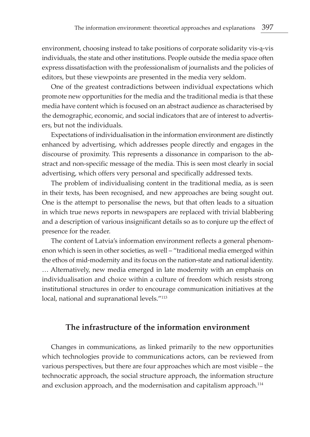environment, choosing instead to take positions of corporate solidarity vis-ą-vis individuals, the state and other institutions. People outside the media space often express dissatisfaction with the professionalism of journalists and the policies of editors, but these viewpoints are presented in the media very seldom.

One of the greatest contradictions between individual expectations which promote new opportunities for the media and the traditional media is that these media have content which is focused on an abstract audience as characterised by the demographic, economic, and social indicators that are of interest to advertisers, but not the individuals.

Expectations of individualisation in the information environment are distinctly enhanced by advertising, which addresses people directly and engages in the discourse of proximity. This represents a dissonance in comparison to the abstract and non-specific message of the media. This is seen most clearly in social advertising, which offers very personal and specifically addressed texts.

The problem of individualising content in the traditional media, as is seen in their texts, has been recognised, and new approaches are being sought out. One is the attempt to personalise the news, but that often leads to a situation in which true news reports in newspapers are replaced with trivial blabbering and a description of various insignificant details so as to conjure up the effect of presence for the reader.

The content of Latvia's information environment reflects a general phenomenon which is seen in other societies, as well – "traditional media emerged within the ethos of mid-modernity and its focus on the nation-state and national identity. … Alternatively, new media emerged in late modernity with an emphasis on individualisation and choice within a culture of freedom which resists strong institutional structures in order to encourage communication initiatives at the local, national and supranational levels."113

#### **The infrastructure of the information environment**

Changes in communications, as linked primarily to the new opportunities which technologies provide to communications actors, can be reviewed from various perspectives, but there are four approaches which are most visible – the technocratic approach, the social structure approach, the information structure and exclusion approach, and the modernisation and capitalism approach.<sup>114</sup>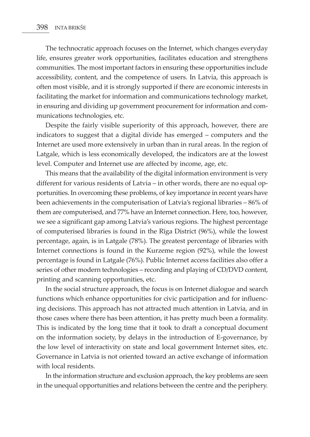The technocratic approach focuses on the Internet, which changes everyday life, ensures greater work opportunities, facilitates education and strengthens communities. The most important factors in ensuring these opportunities include accessibility, content, and the competence of users. In Latvia, this approach is often most visible, and it is strongly supported if there are economic interests in facilitating the market for information and communications technology market, in ensuring and dividing up government procurement for information and communications technologies, etc.

Despite the fairly visible superiority of this approach, however, there are indicators to suggest that a digital divide has emerged – computers and the Internet are used more extensively in urban than in rural areas. In the region of Latgale, which is less economically developed, the indicators are at the lowest level. Computer and Internet use are affected by income, age, etc.

This means that the availability of the digital information environment is very different for various residents of Latvia – in other words, there are no equal opportunities. In overcoming these problems, of key importance in recent years have been achievements in the computerisation of Latvia's regional libraries – 86% of them are computerised, and 77% have an Internet connection. Here, too, however, we see a significant gap among Latvia's various regions. The highest percentage of computerised libraries is found in the Rīga District (96%), while the lowest percentage, again, is in Latgale (78%). The greatest percentage of libraries with Internet connections is found in the Kurzeme region (92%), while the lowest percentage is found in Latgale (76%). Public Internet access facilities also offer a series of other modern technologies – recording and playing of CD/DVD content, printing and scanning opportunities, etc.

In the social structure approach, the focus is on Internet dialogue and search functions which enhance opportunities for civic participation and for influencing decisions. This approach has not attracted much attention in Latvia, and in those cases where there has been attention, it has pretty much been a formality. This is indicated by the long time that it took to draft a conceptual document on the information society, by delays in the introduction of E-governance, by the low level of interactivity on state and local government Internet sites, etc. Governance in Latvia is not oriented toward an active exchange of information with local residents.

In the information structure and exclusion approach, the key problems are seen in the unequal opportunities and relations between the centre and the periphery.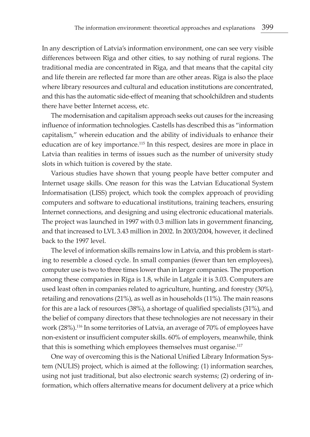In any description of Latvia's information environment, one can see very visible differences between Rīga and other cities, to say nothing of rural regions. The traditional media are concentrated in Rīga, and that means that the capital city and life therein are reflected far more than are other areas. Rīga is also the place where library resources and cultural and education institutions are concentrated, and this has the automatic side-effect of meaning that schoolchildren and students there have better Internet access, etc.

The modernisation and capitalism approach seeks out causes for the increasing influence of information technologies. Castells has described this as "information capitalism," wherein education and the ability of individuals to enhance their education are of key importance.<sup>115</sup> In this respect, desires are more in place in Latvia than realities in terms of issues such as the number of university study slots in which tuition is covered by the state.

Various studies have shown that young people have better computer and Internet usage skills. One reason for this was the Latvian Educational System Informatisation (LISS) project, which took the complex approach of providing computers and software to educational institutions, training teachers, ensuring Internet connections, and designing and using electronic educational materials. The project was launched in 1997 with 0.3 million lats in government financing, and that increased to LVL 3.43 million in 2002. In 2003/2004, however, it declined back to the 1997 level.

The level of information skills remains low in Latvia, and this problem is starting to resemble a closed cycle. In small companies (fewer than ten employees), computer use is two to three times lower than in larger companies. The proportion among these companies in Rīga is 1.8, while in Latgale it is 3.03. Computers are used least often in companies related to agriculture, hunting, and forestry (30%), retailing and renovations (21%), as well as in households (11%). The main reasons for this are a lack of resources (38%), a shortage of qualified specialists (31%), and the belief of company directors that these technologies are not necessary in their work (28%).116 In some territories of Latvia, an average of 70% of employees have non-existent or insufficient computer skills. 60% of employers, meanwhile, think that this is something which employees themselves must organise.<sup>117</sup>

One way of overcoming this is the National Unified Library Information System (NULIS) project, which is aimed at the following: (1) information searches, using not just traditional, but also electronic search systems; (2) ordering of information, which offers alternative means for document delivery at a price which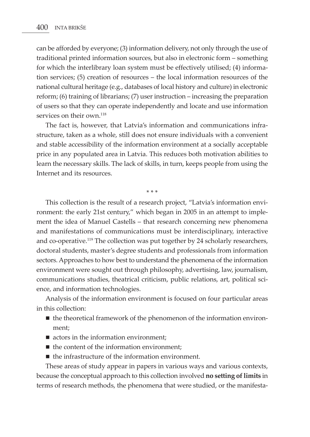can be afforded by everyone; (3) information delivery, not only through the use of traditional printed information sources, but also in electronic form – something for which the interlibrary loan system must be effectively utilised; (4) information services; (5) creation of resources – the local information resources of the national cultural heritage (e.g., databases of local history and culture) in electronic reform; (6) training of librarians; (7) user instruction – increasing the preparation of users so that they can operate independently and locate and use information services on their own.<sup>118</sup>

The fact is, however, that Latvia's information and communications infrastructure, taken as a whole, still does not ensure individuals with a convenient and stable accessibility of the information environment at a socially acceptable price in any populated area in Latvia. This reduces both motivation abilities to learn the necessary skills. The lack of skills, in turn, keeps people from using the Internet and its resources.

\* \* \*

This collection is the result of a research project, "Latvia's information environment: the early 21st century," which began in 2005 in an attempt to implement the idea of Manuel Castells – that research concerning new phenomena and manifestations of communications must be interdisciplinary, interactive and co-operative.119 The collection was put together by 24 scholarly researchers, doctoral students, master's degree students and professionals from information sectors. Approaches to how best to understand the phenomena of the information environment were sought out through philosophy, advertising, law, journalism, communications studies, theatrical criticism, public relations, art, political science, and information technologies.

Analysis of the information environment is focused on four particular areas in this collection:

- $\blacksquare$  the theoretical framework of the phenomenon of the information environment;
- $\blacksquare$  actors in the information environment;
- $\blacksquare$  the content of the information environment;
- $\blacksquare$  the infrastructure of the information environment.

These areas of study appear in papers in various ways and various contexts, because the conceptual approach to this collection involved **no setting of limits** in terms of research methods, the phenomena that were studied, or the manifesta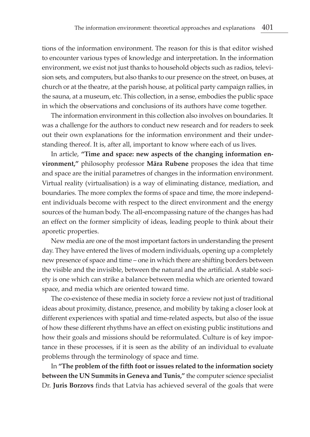tions of the information environment. The reason for this is that editor wished to encounter various types of knowledge and interpretation. In the information environment, we exist not just thanks to household objects such as radios, television sets, and computers, but also thanks to our presence on the street, on buses, at church or at the theatre, at the parish house, at political party campaign rallies, in the sauna, at a museum, etc. This collection, in a sense, embodies the public space in which the observations and conclusions of its authors have come together.

The information environment in this collection also involves on boundaries. It was a challenge for the authors to conduct new research and for readers to seek out their own explanations for the information environment and their understanding thereof. It is, after all, important to know where each of us lives.

In article, **"Time and space: new aspects of the changing information environment,"** philosophy professor **Māra Rubene** proposes the idea that time and space are the initial parametres of changes in the information environment. Virtual reality (virtualisation) is a way of eliminating distance, mediation, and boundaries. The more complex the forms of space and time, the more independent individuals become with respect to the direct environment and the energy sources of the human body. The all-encompassing nature of the changes has had an effect on the former simplicity of ideas, leading people to think about their aporetic properties.

New media are one of the most important factors in understanding the present day. They have entered the lives of modern individuals, opening up a completely new presence of space and time – one in which there are shifting borders between the visible and the invisible, between the natural and the artificial. A stable society is one which can strike a balance between media which are oriented toward space, and media which are oriented toward time.

The co-existence of these media in society force a review not just of traditional ideas about proximity, distance, presence, and mobility by taking a closer look at different experiences with spatial and time-related aspects, but also of the issue of how these different rhythms have an effect on existing public institutions and how their goals and missions should be reformulated. Culture is of key importance in these processes, if it is seen as the ability of an individual to evaluate problems through the terminology of space and time.

In **"The problem of the fifth foot or issues related to the information society between the UN Summits in Geneva and Tunis,"** the computer science specialist Dr. **Juris Borzovs** finds that Latvia has achieved several of the goals that were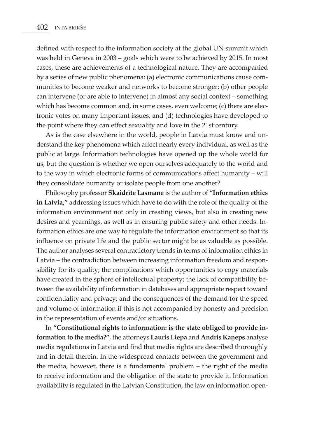defined with respect to the information society at the global UN summit which was held in Geneva in 2003 – goals which were to be achieved by 2015. In most cases, these are achievements of a technological nature. They are accompanied by a series of new public phenomena: (a) electronic communications cause communities to become weaker and networks to become stronger; (b) other people can intervene (or are able to intervene) in almost any social context – something which has become common and, in some cases, even welcome; (c) there are electronic votes on many important issues; and (d) technologies have developed to the point where they can effect sexuality and love in the 21st century.

As is the case elsewhere in the world, people in Latvia must know and understand the key phenomena which affect nearly every individual, as well as the public at large. Information technologies have opened up the whole world for us, but the question is whether we open ourselves adequately to the world and to the way in which electronic forms of communications affect humanity – will they consolidate humanity or isolate people from one another?

Philosophy professor **Skaidrīte Lasmane** is the author of **"Information ethics in Latvia,"** addressing issues which have to do with the role of the quality of the information environment not only in creating views, but also in creating new desires and yearnings, as well as in ensuring public safety and other needs. Information ethics are one way to regulate the information environment so that its influence on private life and the public sector might be as valuable as possible. The author analyses several contradictory trends in terms of information ethics in Latvia – the contradiction between increasing information freedom and responsibility for its quality; the complications which opportunities to copy materials have created in the sphere of intellectual property; the lack of compatibility between the availability of information in databases and appropriate respect toward confidentiality and privacy; and the consequences of the demand for the speed and volume of information if this is not accompanied by honesty and precision in the representation of events and/or situations.

In **"Constitutional rights to information: is the state obliged to provide information to the media?"**, the attorneys **Lauris Liepa** and **Andris Kaņeps** analyse media regulations in Latvia and find that media rights are described thoroughly and in detail therein. In the widespread contacts between the government and the media, however, there is a fundamental problem – the right of the media to receive information and the obligation of the state to provide it. Information availability is regulated in the Latvian Constitution, the law on information open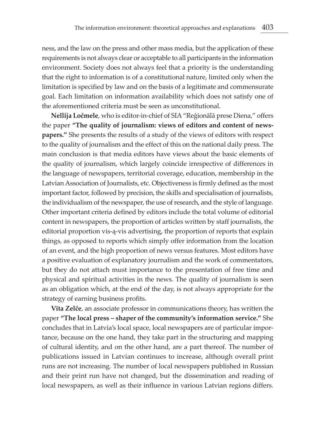ness, and the law on the press and other mass media, but the application of these requirements is not always clear or acceptable to all participants in the information environment. Society does not always feel that a priority is the understanding that the right to information is of a constitutional nature, limited only when the limitation is specified by law and on the basis of a legitimate and commensurate goal. Each limitation on information availability which does not satisfy one of the aforementioned criteria must be seen as unconstitutional.

**Nellija Ločmele**, who is editor-in-chief of SIA "Reģionālā prese Diena," offers the paper **"The quality of journalism: views of editors and content of newspapers."** She presents the results of a study of the views of editors with respect to the quality of journalism and the effect of this on the national daily press. The main conclusion is that media editors have views about the basic elements of the quality of journalism, which largely coincide irrespective of differences in the language of newspapers, territorial coverage, education, membership in the Latvian Association of Journalists, etc. Objectiveness is firmly defined as the most important factor, followed by precision, the skills and specialisation of journalists, the individualism of the newspaper, the use of research, and the style of language. Other important criteria defined by editors include the total volume of editorial content in newspapers, the proportion of articles written by staff journalists, the editorial proportion vis-ą-vis advertising, the proportion of reports that explain things, as opposed to reports which simply offer information from the location of an event, and the high proportion of news versus features. Most editors have a positive evaluation of explanatory journalism and the work of commentators, but they do not attach must importance to the presentation of free time and physical and spiritual activities in the news. The quality of journalism is seen as an obligation which, at the end of the day, is not always appropriate for the strategy of earning business profits.

**Vita Zelče**, an associate professor in communications theory, has written the paper **"The local press – shaper of the community's information service."** She concludes that in Latvia's local space, local newspapers are of particular importance, because on the one hand, they take part in the structuring and mapping of cultural identity, and on the other hand, are a part thereof. The number of publications issued in Latvian continues to increase, although overall print runs are not increasing. The number of local newspapers published in Russian and their print run have not changed, but the dissemination and reading of local newspapers, as well as their influence in various Latvian regions differs.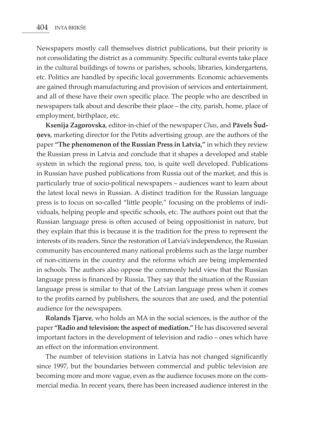Newspapers mostly call themselves district publications, but their priority is not consolidating the district as a community. Specific cultural events take place in the cultural buildings of towns or parishes, schools, libraries, kindergartens, etc. Politics are handled by specific local governments. Economic achievements are gained through manufacturing and provision of services and entertainment, and all of these have their own specific place. The people who are described in newspapers talk about and describe their place – the city, parish, home, place of employment, birthplace, etc.

**Ksenija Zagorovska**, editor-in-chief of the newspaper *Chas*, and **Pāvels Šudņevs**, marketing director for the Petits advertising group, are the authors of the paper **"The phenomenon of the Russian Press in Latvia,"** in which they review the Russian press in Latvia and conclude that it shapes a developed and stable system in which the regional press, too, is quite well developed. Publications in Russian have pushed publications from Russia out of the market, and this is particularly true of socio-political newspapers – audiences want to learn about the latest local news in Russian. A distinct tradition for the Russian language press is to focus on so-called "little people," focusing on the problems of individuals, helping people and specific schools, etc. The authors point out that the Russian language press is often accused of being oppositionist in nature, but they explain that this is because it is the tradition for the press to represent the interests of its readers. Since the restoration of Latvia's independence, the Russian community has encountered many national problems such as the large number of non-citizens in the country and the reforms which are being implemented in schools. The authors also oppose the commonly held view that the Russian language press is financed by Russia. They say that the situation of the Russian language press is similar to that of the Latvian language press when it comes to the profits earned by publishers, the sources that are used, and the potential audience for the newspapers.

**Rolands Tjarve**, who holds an MA in the social sciences, is the author of the paper **"Radio and television: the aspect of mediation."** He has discovered several important factors in the development of television and radio – ones which have an effect on the information environment.

The number of television stations in Latvia has not changed significantly since 1997, but the boundaries between commercial and public television are becoming more and more vague, even as the audience focuses more on the commercial media. In recent years, there has been increased audience interest in the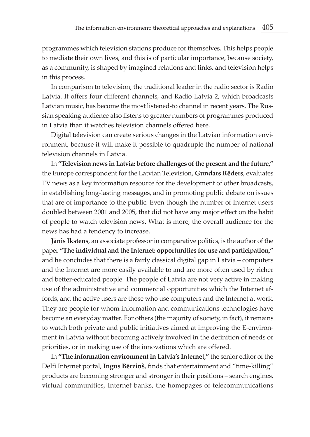programmes which television stations produce for themselves. This helps people to mediate their own lives, and this is of particular importance, because society, as a community, is shaped by imagined relations and links, and television helps in this process.

In comparison to television, the traditional leader in the radio sector is Radio Latvia. It offers four different channels, and Radio Latvia 2, which broadcasts Latvian music, has become the most listened-to channel in recent years. The Russian speaking audience also listens to greater numbers of programmes produced in Latvia than it watches television channels offered here.

Digital television can create serious changes in the Latvian information environment, because it will make it possible to quadruple the number of national television channels in Latvia.

In **"Television news in Latvia: before challenges of the present and the future,"** the Europe correspondent for the Latvian Television, **Gundars Rēders**, evaluates TV news as a key information resource for the development of other broadcasts, in establishing long-lasting messages, and in promoting public debate on issues that are of importance to the public. Even though the number of Internet users doubled between 2001 and 2005, that did not have any major effect on the habit of people to watch television news. What is more, the overall audience for the news has had a tendency to increase.

**Jānis Ikstens**, an associate professor in comparative politics, is the author of the paper **"The individual and the Internet: opportunities for use and participation,"** and he concludes that there is a fairly classical digital gap in Latvia – computers and the Internet are more easily available to and are more often used by richer and better-educated people. The people of Latvia are not very active in making use of the administrative and commercial opportunities which the Internet affords, and the active users are those who use computers and the Internet at work. They are people for whom information and communications technologies have become an everyday matter. For others (the majority of society, in fact), it remains to watch both private and public initiatives aimed at improving the E-environment in Latvia without becoming actively involved in the definition of needs or priorities, or in making use of the innovations which are offered.

In **"The information environment in Latvia's Internet,"** the senior editor of the Delfi Internet portal, **Ingus Bērziņš**, finds that entertainment and "time-killing" products are becoming stronger and stronger in their positions – search engines, virtual communities, Internet banks, the homepages of telecommunications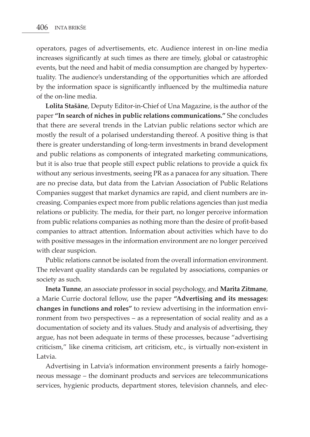operators, pages of advertisements, etc. Audience interest in on-line media increases significantly at such times as there are timely, global or catastrophic events, but the need and habit of media consumption are changed by hypertextuality. The audience's understanding of the opportunities which are afforded by the information space is significantly influenced by the multimedia nature of the on-line media.

**Lolita Stašāne**, Deputy Editor-in-Chief of Una Magazine, is the author of the paper **"In search of niches in public relations communications."** She concludes that there are several trends in the Latvian public relations sector which are mostly the result of a polarised understanding thereof. A positive thing is that there is greater understanding of long-term investments in brand development and public relations as components of integrated marketing communications, but it is also true that people still expect public relations to provide a quick fix without any serious investments, seeing PR as a panacea for any situation. There are no precise data, but data from the Latvian Association of Public Relations Companies suggest that market dynamics are rapid, and client numbers are increasing. Companies expect more from public relations agencies than just media relations or publicity. The media, for their part, no longer perceive information from public relations companies as nothing more than the desire of profit-based companies to attract attention. Information about activities which have to do with positive messages in the information environment are no longer perceived with clear suspicion.

Public relations cannot be isolated from the overall information environment. The relevant quality standards can be regulated by associations, companies or society as such.

**Ineta Tunne**, an associate professor in social psychology, and **Marita Zitmane**, a Marie Currie doctoral fellow, use the paper **"Advertising and its messages: changes in functions and roles"** to review advertising in the information environment from two perspectives – as a representation of social reality and as a documentation of society and its values. Study and analysis of advertising, they argue, has not been adequate in terms of these processes, because "advertising criticism," like cinema criticism, art criticism, etc., is virtually non-existent in Latvia.

Advertising in Latvia's information environment presents a fairly homogeneous message – the dominant products and services are telecommunications services, hygienic products, department stores, television channels, and elec-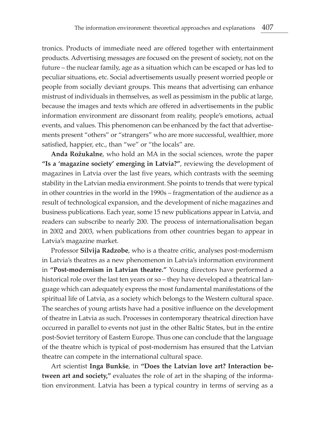tronics. Products of immediate need are offered together with entertainment products. Advertising messages are focused on the present of society, not on the future – the nuclear family, age as a situation which can be escaped or has led to peculiar situations, etc. Social advertisements usually present worried people or people from socially deviant groups. This means that advertising can enhance mistrust of individuals in themselves, as well as pessimism in the public at large, because the images and texts which are offered in advertisements in the public information environment are dissonant from reality, people's emotions, actual events, and values. This phenomenon can be enhanced by the fact that advertisements present "others" or "strangers" who are more successful, wealthier, more satisfied, happier, etc., than "we" or "the locals" are.

**Anda Rožukalne**, who hold an MA in the social sciences, wrote the paper **"Is a 'magazine society' emerging in Latvia?"**, reviewing the development of magazines in Latvia over the last five years, which contrasts with the seeming stability in the Latvian media environment. She points to trends that were typical in other countries in the world in the 1990s – fragmentation of the audience as a result of technological expansion, and the development of niche magazines and business publications. Each year, some 15 new publications appear in Latvia, and readers can subscribe to nearly 200. The process of internationalisation began in 2002 and 2003, when publications from other countries began to appear in Latvia's magazine market.

Professor **Silvija Radzobe**, who is a theatre critic, analyses post-modernism in Latvia's theatres as a new phenomenon in Latvia's information environment in **"Post-modernism in Latvian theatre."** Young directors have performed a historical role over the last ten years or so – they have developed a theatrical language which can adequately express the most fundamental manifestations of the spiritual life of Latvia, as a society which belongs to the Western cultural space. The searches of young artists have had a positive influence on the development of theatre in Latvia as such. Processes in contemporary theatrical direction have occurred in parallel to events not just in the other Baltic States, but in the entire post-Soviet territory of Eastern Europe. Thus one can conclude that the language of the theatre which is typical of post-modernism has ensured that the Latvian theatre can compete in the international cultural space.

Art scientist **Inga Bunkše**, in **"Does the Latvian love art? Interaction between art and society,"** evaluates the role of art in the shaping of the information environment. Latvia has been a typical country in terms of serving as a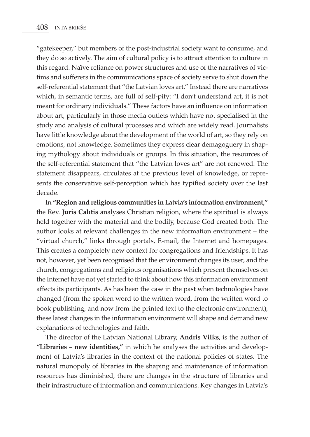"gatekeeper," but members of the post-industrial society want to consume, and they do so actively. The aim of cultural policy is to attract attention to culture in this regard. Naïve reliance on power structures and use of the narratives of victims and sufferers in the communications space of society serve to shut down the self-referential statement that "the Latvian loves art." Instead there are narratives which, in semantic terms, are full of self-pity: "I don't understand art, it is not meant for ordinary individuals." These factors have an influence on information about art, particularly in those media outlets which have not specialised in the study and analysis of cultural processes and which are widely read. Journalists have little knowledge about the development of the world of art, so they rely on emotions, not knowledge. Sometimes they express clear demagoguery in shaping mythology about individuals or groups. In this situation, the resources of the self-referential statement that "the Latvian loves art" are not renewed. The statement disappears, circulates at the previous level of knowledge, or represents the conservative self-perception which has typified society over the last decade.

In **"Region and religious communities in Latvia's information environment,"**  the Rev. **Juris Cālītis** analyses Christian religion, where the spiritual is always held together with the material and the bodily, because God created both. The author looks at relevant challenges in the new information environment – the "virtual church," links through portals, E-mail, the Internet and homepages. This creates a completely new context for congregations and friendships. It has not, however, yet been recognised that the environment changes its user, and the church, congregations and religious organisations which present themselves on the Internet have not yet started to think about how this information environment affects its participants. As has been the case in the past when technologies have changed (from the spoken word to the written word, from the written word to book publishing, and now from the printed text to the electronic environment), these latest changes in the information environment will shape and demand new explanations of technologies and faith.

The director of the Latvian National Library, **Andris Vilks**, is the author of **"Libraries – new identities,"** in which he analyses the activities and development of Latvia's libraries in the context of the national policies of states. The natural monopoly of libraries in the shaping and maintenance of information resources has diminished, there are changes in the structure of libraries and their infrastructure of information and communications. Key changes in Latvia's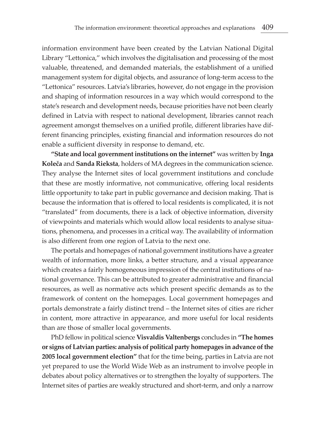information environment have been created by the Latvian National Digital Library "Lettonica," which involves the digitalisation and processing of the most valuable, threatened, and demanded materials, the establishment of a unified management system for digital objects, and assurance of long-term access to the "Lettonica" resources. Latvia's libraries, however, do not engage in the provision and shaping of information resources in a way which would correspond to the state's research and development needs, because priorities have not been clearly defined in Latvia with respect to national development, libraries cannot reach agreement amongst themselves on a unified profile, different libraries have different financing principles, existing financial and information resources do not enable a sufficient diversity in response to demand, etc.

**"State and local government institutions on the internet"** was written by **Inga Koleča** and **Sanda Rieksta**, holders of MA degrees in the communication science. They analyse the Internet sites of local government institutions and conclude that these are mostly informative, not communicative, offering local residents little opportunity to take part in public governance and decision making. That is because the information that is offered to local residents is complicated, it is not "translated" from documents, there is a lack of objective information, diversity of viewpoints and materials which would allow local residents to analyse situations, phenomena, and processes in a critical way. The availability of information is also different from one region of Latvia to the next one.

The portals and homepages of national government institutions have a greater wealth of information, more links, a better structure, and a visual appearance which creates a fairly homogeneous impression of the central institutions of national governance. This can be attributed to greater administrative and financial resources, as well as normative acts which present specific demands as to the framework of content on the homepages. Local government homepages and portals demonstrate a fairly distinct trend – the Internet sites of cities are richer in content, more attractive in appearance, and more useful for local residents than are those of smaller local governments.

PhD fellow in political science **Visvaldis Valtenbergs** concludes in **"The homes or signs of Latvian parties: analysis of political party homepages in advance of the 2005 local government election"** that for the time being, parties in Latvia are not yet prepared to use the World Wide Web as an instrument to involve people in debates about policy alternatives or to strengthen the loyalty of supporters. The Internet sites of parties are weakly structured and short-term, and only a narrow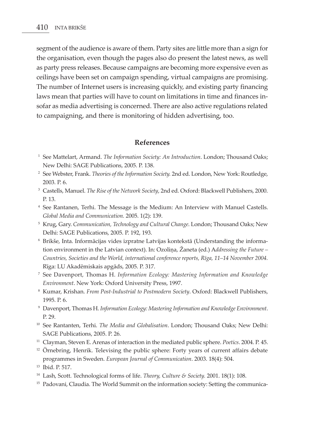segment of the audience is aware of them. Party sites are little more than a sign for the organisation, even though the pages also do present the latest news, as well as party press releases. Because campaigns are becoming more expensive even as ceilings have been set on campaign spending, virtual campaigns are promising. The number of Internet users is increasing quickly, and existing party financing laws mean that parties will have to count on limitations in time and finances insofar as media advertising is concerned. There are also active regulations related to campaigning, and there is monitoring of hidden advertising, too.

#### **References**

- <sup>1</sup> See Mattelart, Armand. *The Information Society: An Introduction*. London; Thousand Oaks; New Delhi: SAGE Publications, 2005. P. 138.
- <sup>2</sup> See Webster, Frank. *Theories of the Information Society.* 2nd ed. London, New York: Routledge, 2003. P. 6.
- <sup>3</sup> Castells, Manuel. *The Rise of the Network Society*, 2nd ed. Oxford: Blackwell Publishers, 2000. P. 13.
- <sup>4</sup> See Rantanen, Terhi. The Message is the Medium: An Interview with Manuel Castells. *Global Media and Communication.* 2005. 1(2): 139.
- <sup>5</sup> Krug, Gary. *Communication, Technology and Cultural Change*. London; Thousand Oaks; New Delhi: SAGE Publications, 2005. P. 192, 193.
- <sup>6</sup> Brikše, Inta. Informācijas vides izpratne Latvijas kontekstā (Understanding the information environment in the Latvian context). In: Ozoliņa, Žaneta (ed.) A*ddressing the Future – Countries, Societies and the World, international conference reports, Rīga, 11–14 November 2004.* Rīga: LU Akadēmiskais apgāds, 2005. P. 317.
- <sup>7</sup> See Davenport, Thomas H. *Information Ecology: Mastering Information and Knowledge Environment*. New York: Oxford University Press, 1997.
- <sup>8</sup> Kumar, Krishan. *From Post-Industrial to Postmodern Society*. Oxford: Blackwell Publishers, 1995. P. 6.
- <sup>9</sup> Davenport, Thomas H. *Information Ecology: Mastering Information and Knowledge Environment*. P. 29.
- <sup>10</sup> See Rantanten, Terhi. *The Media and Globalisation*. London; Thousand Oaks; New Delhi: SAGE Publications, 2005. P. 26.
- <sup>11</sup> Clayman, Steven E. Arenas of interaction in the mediated public sphere. *Poetics*. 2004. P. 45.
- $12$  Örnebring, Henrik. Televising the public sphere: Forty years of current affairs debate programmes in Sweden. *European Journal of Communication*. 2003. 18(4): 504.
- <sup>13</sup> Ibid. P. 517.
- <sup>14</sup> Lash, Scott. Technological forms of life. *Theory, Culture & Society.* 2001. 18(1): 108.
- <sup>15</sup> Padovani, Claudia. The World Summit on the information society: Setting the communica-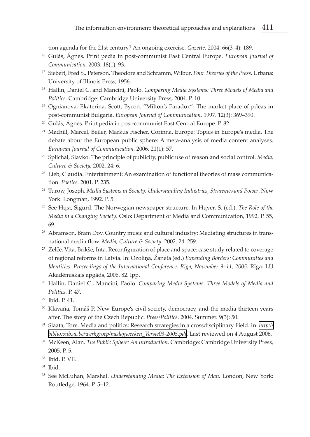tion agenda for the 21st century? An ongoing exercise. *Gazette.* 2004. 66(3–4): 189.

- <sup>16</sup> Gulás, Ágnes. Print pedia in post-communist East Central Europe. *European Journal of Communication.* 2003. 18(1): 93.
- <sup>17</sup> Siebert, Fred S., Peterson, Theodore and Schramm, Wilbur. *Four Theories of the Press*. Urbana: University of Illinois Press, 1956.
- <sup>18</sup> Hallin, Daniel C. and Mancini, Paolo. *Comparing Media Systems: Three Models of Media and Politics*. Cambridge: Cambridge University Press, 2004. P. 10.
- <sup>19</sup> Ognianova, Ekaterina, Scott, Byron. "Milton's Paradox": The market-place of pdeas in post-communist Bulgaria. *European Journal of Communication.* 1997. 12(3): 369–390.
- <sup>20</sup> Gulás, Ágnes. Print pedia in post-communist East Central Europe. P. 82.
- <sup>21</sup> Machill, Marcel, Beiler, Markus Fischer, Corinna. Europe: Topics in Europe's media. The debate about the European public sphere: A meta-analysis of media content analyses. *European Journal of Communication.* 2006. 21(1): 57.
- <sup>22</sup> Splichal, Slavko. The principle of publicity, public use of reason and social control. *Media, Culture & Society.* 2002. 24: 6.
- <sup>23</sup> Lieb, Claudia. Entertainment: An examination of functional theories of mass communication. *Poetics*. 2001. P. 235.
- <sup>24</sup> Turow, Joseph. *Media Systems in Society: Understanding Industries, Strategies and Power*. New York: Longman, 1992. P. 5.
- <sup>25</sup> See Hųst, Sigurd. The Norwegian newspaper structure. In Hųyer, S. (ed.). *The Role of the Media in a Changing Society*. Oslo: Department of Media and Communication, 1992. P. 55, 69.
- <sup>26</sup> Abramson, Bram Dov. Country music and cultural industry: Mediating structures in transnational media flow. *Media, Culture & Society*. 2002. 24: 259.
- <sup>27</sup> Zelče, Vita, Brikše, Inta. Reconfiguration of place and space: case study related to coverage of regional reforms in Latvia. In: Ozoliņa, Žaneta (ed.) *Expending Borders: Communities and Identities. Proceedings of the International Conference. Rīga, November 9–11, 2005*. Rīga: LU Akadēmiskais apgāds, 2006. 82. lpp.
- <sup>28</sup> Hallin, Daniel C., Mancini, Paolo. *Comparing Media Systems*. *Three Models of Media and Politics.* P. 47.
- <sup>29</sup> Ibid. P. 41.
- <sup>30</sup> Klavaňa, Tomáš P. New Europe's civil society, democracy, and the media thirteen years after. The story of the Czech Republic. *Press/Politics*. 2004. Summer. 9(3): 50.
- <sup>31</sup> Slaata, Tore. Media and politics: Research strategies in a crossdisciplinary Field. In: *[http://](http://biblio.vub.ac.be/werkgroep/naslagwerken_Versie03-2005.pdf) [biblio.vub.ac.be/werkgroep/naslagwerken\\_Versie03-2005.pdf](http://biblio.vub.ac.be/werkgroep/naslagwerken_Versie03-2005.pdf)*. Last reviewed on 4 August 2006.
- <sup>32</sup> McKeen, Alan. *The Public Sphere: An Introduction*. Cambridge: Cambridge University Press, 2005. P. 5.
- <sup>33</sup> Ibid. P. VII.
- <sup>34</sup> Ibid.
- <sup>35</sup> See McLuhan, Marshal. *Understanding Media: The Extension of Man.* London, New York: Routledge, 1964. P. 5–12.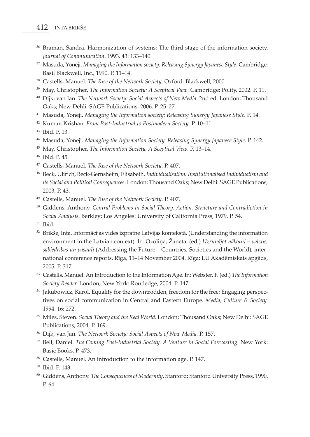- <sup>36</sup> Braman, Sandra. Harmonization of systems: The third stage of the information society. *Journal of Communication*. 1993. 43: 133–140.
- <sup>37</sup> Masuda, Yoneji. *Managing the Information society: Releasing Synergy Japanese Style*. Cambridge: Basil Blackwell, Inc., 1990. P. 11–14.
- <sup>38</sup> Castells, Manuel. *The Rise of the Network Society*. Oxford: Blackwell, 2000.
- <sup>39</sup> May, Christopher. *The Information Society: A Sceptical View*. Cambridge: Polity, 2002. P. 11.
- <sup>40</sup> Dijk, van Jan. *The Network Society: Social Aspects of New Media*. 2nd ed. London; Thousand Oaks; New Dehli: SAGE Publications, 2006. P. 25–27.
- <sup>41</sup> Masuda, Yoneji. *Managing the Information society: Releasing Synergy Japanese Style*. P. 14.
- <sup>42</sup> Kumar, Krishan. *From Post-Industrial to Postmodern Society*. P. 10–11.
- <sup>43</sup> Ibid. P. 13.
- <sup>44</sup> Masuda, Yoneji. *Managing the Information Society. Releasing Synergy Japanese Style*. P. 142.
- <sup>45</sup> May, Christopher. *The Information Society. A Sceptical View*. P. 13–14.
- <sup>46</sup> Ibid. P. 45.
- <sup>47</sup> Castells, Manuel. *The Rise of the Network Society*. P. 407.
- <sup>48</sup> Beck, Ulirich, Beck-Gernsheim, Elisabeth. *Individualisation: Institutionalised Individualism and its Social and Political Consequences*. London; Thousand Oaks; New Delhi: SAGE Publications, 2003. P. 43.
- <sup>49</sup> Castells, Manuel. *The Rise of the Network Society*. P. 407.
- <sup>50</sup> Giddens, Anthony. *Central Problems in Social Theory. Action, Structure and Contradiction in Social Analysis*. Berkley; Los Angeles: University of California Press, 1979. P. 54.
- <sup>51</sup> Ibid.
- $52$  Brikše, Inta. Informācijas vides izpratne Latvijas kontekstā. (Understanding the information environment in the Latvian context). In: Ozoliņa, Žaneta. (ed.) *Uzrunājot nākotni – valstis, sabiedrības un pasauli* (Addressing the Future – Countries, Societies and the World), international conference reports, Rīga, 11–14 November 2004. Rīga: LU Akadēmiskais apgāds, 2005. P. 317.
- <sup>53</sup> Castells, Manuel. An Introduction to the Information Age. In: Webster, F. (ed.) *The Information Society Reader.* London; New York: Routledge, 2004. P. 147.
- <sup>54</sup> Jakubowicz, Karol. Equality for the downtrodden, freedom for the free: Engaging perspectives on social communication in Central and Eastern Europe. *Media, Culture & Society.* 1994. 16: 272.
- <sup>55</sup> Miles, Steven. *Social Theory and the Real World*. London; Thousand Oaks; New Delhi: SAGE Publications, 2004. P. 169.
- <sup>56</sup> Dijk, van Jan. *The Network Society: Social Aspects of New Media.* P. 157.
- <sup>57</sup> Bell, Daniel. *The Coming Post-Industrial Society. A Venture in Social Forecasting*. New York: Basic Books. P. 473.
- <sup>58</sup> Castells, Manuel. An introduction to the information age. P. 147.
- <sup>59</sup> Ibid. P. 143.
- <sup>60</sup> Giddens, Anthony. *The Consequences of Modernity*. Stanford: Stanford University Press, 1990. P. 64.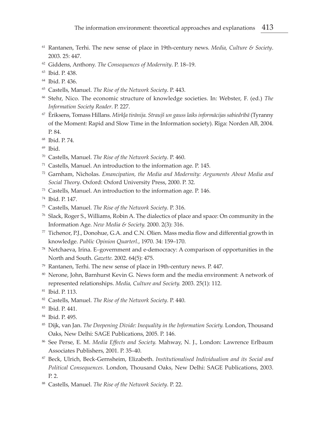- Rantanen, Terhi. The new sense of place in 19th-century news. *Media, Culture & Society*. 2003. 25: 447.
- Giddens, Anthony. *The Consequences of Modernity*. P. 18–19.
- Ibid. P. 438.
- Ibid. P. 436.
- Castells, Manuel. *The Rise of the Network Society*. P. 443.
- Stehr, Nico. The economic structure of knowledge societies. In: Webster, F. (ed.) *The Information Society Reader*. P. 227.
- Ēriksens, Tomass Hillans. *Mirkļa tirānija. Straujš un gauss laiks informācijas sabiedrībā* (Tyranny of the Moment: Rapid and Slow Time in the Information society). Rīga: Norden AB, 2004. P. 84.
- Ibid. P. 74.
- Ibid.
- Castells, Manuel. *The Rise of the Network Society*. P. 460.
- Castells, Manuel. An introduction to the information age. P. 145.
- Garnham, Nicholas. *Emancipation, the Media and Modernity: Arguments About Media and Social Theory*. Oxford: Oxford University Press, 2000. P. 32.
- Castells, Manuel. An introduction to the information age. P. 146.
- Ibid. P. 147.
- Castells, Manuel. *The Rise of the Network Society*. P. 316.
- Slack, Roger S., Williams, Robin A. The dialectics of place and space: On community in the Information Age. *New Media & Society.* 2000. 2(3): 316.
- Tichenor, P.J., Donohue, G.A. and C.N. Olien. Mass media flow and differential growth in knowledge. *Public Opinion Quarterl.*, 1970. 34: 159–170.
- Netchaeva, Irina. E–government and e-democracy: A comparison of opportunities in the North and South. *Gazette.* 2002. 64(5): 475.
- Rantanen, Terhi. The new sense of place in 19th-century news. P. 447.
- Nerone, John, Barnhurst Kevin G. News form and the media environment: A network of represented relationships. *Media, Culture and Society.* 2003. 25(1): 112.
- Ibid. P. 113.
- Castells, Manuel. *The Rise of the Network Society*. P. 440.
- Ibid. P. 441.
- Ibid. P. 495.
- 85 Dijk, van Jan. *The Deepening Divide: Inequality in the Information Society*. London, Thousand Oaks, New Delhi: SAGE Publications, 2005. P. 146.
- See Perse, E. M. *Media Effects and Society.* Mahway, N. J., London: Lawrence Erlbaum Associates Publishers, 2001. P. 35–40.
- Beck, Ulrich, Beck-Gernsheim, Elizabeth. *Institutionalised Individualism and its Social and Political Consequences.* London, Thousand Oaks, New Delhi: SAGE Publications, 2003. P. 2.
- Castells, Manuel. *The Rise of the Network Society*. P. 22.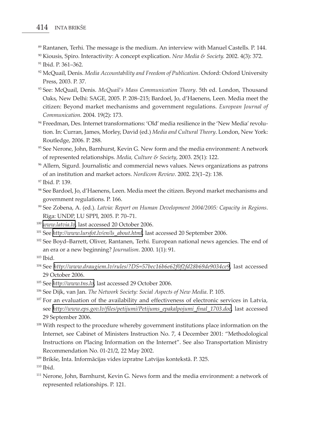- <sup>89</sup> Rantanen, Terhi. The message is the medium. An interview with Manuel Castells. P. 144.
- <sup>90</sup> Kiousis, Spiro. Interactivity: A concept explication. *New Media & Society.* 2002. 4(3): 372.

- <sup>92</sup> McQuail, Denis. *Media Accountability and Freedom of Publication*. Oxford: Oxford University Press, 2003. P. 37.
- <sup>93</sup> See: McQuail, Denis. *McQuail's Mass Communication Theory*. 5th ed. London, Thousand Oaks, New Delhi: SAGE, 2005. P. 208–215; Bardoel, Jo, d'Haenens, Leen. Media meet the citizen: Beyond market mechanisms and government regulations. *European Journal of Communication.* 2004. 19(2): 173.
- <sup>94</sup> Freedman, Des. Internet transformations: 'Old' media resilience in the 'New Media' revolution. In: Curran, James, Morley, David (ed.) *Media and Cultural Theory*. London, New York: Routledge, 2006. P. 288.
- <sup>95</sup> See Nerone, John, Barnhurst, Kevin G. New form and the media environment: A network of represented relationships. *Media, Culture & Society*, 2003. 25(1): 122.
- <sup>96</sup> Allern, Sigurd. Journalistic and commercial news values. News organizations as patrons of an institution and market actors. *Nordicom Review*. 2002. 23(1–2): 138.
- <sup>97</sup> Ibid. P. 139.
- <sup>98</sup> See Bardoel, Jo, d'Haenens, Leen. Media meet the citizen. Beyond market mechanisms and government regulations. P. 166.
- <sup>99</sup> See Zobena, A. (ed.). *Latvia: Report on Human Development 2004/2005: Capacity in Regions*. Rīga: UNDP, LU SPPI, 2005. P. 70–71.
- <sup>100</sup> *[www.latvia.lv](http://www.latvia.lv)*, last accessed 20 October 2006.
- <sup>101</sup> See *[http://www.lursfot.lv/en/ls\\_about.html](http://www.lursfot.lv/en/ls_about.html)*, last accessed 20 September 2006.
- <sup>102</sup> See Boyd–Barrett, Oliver, Rantanen, Terhi. European national news agencies. The end of an era or a new beginning? *Journalism*. 2000. 1(1): 91.

- <sup>104</sup> See *<http://www.draugiem.lv/rules/?DS=57bec16b6e62f0f2fd28b69de9034ce9>*, last accessed 29 October 2006.
- <sup>105</sup> See *<http://www.tns.lv>*, last accessed 29 October 2006.
- <sup>106</sup> See Dijk, van Jan. *The Network Society: Social Aspects of New Media*. P. 105.
- <sup>107</sup> For an evaluation of the availability and effectiveness of electronic services in Latvia, see *[http://www.eps.gov.lv/files/petijumi/Petijums\\_epakalpojumi\\_final\\_1703.doc](http://www.eps.gov.lv/files/petijumi/Petijums_epakalpojumi_final_1703.doc)*, last accessed 29 September 2006.
- <sup>108</sup> With respect to the procedure whereby government institutions place information on the Internet, see Cabinet of Ministers Instruction No. 7, 4 December 2001: "Methodological Instructions on Placing Information on the Internet". See also Transportation Ministry Recommendation No. 01-21/2, 22 May 2002.
- <sup>109</sup> Brikše, Inta. Informācijas vides izpratne Latvijas kontekstā. P. 325.

 $110$  Ibid.

<sup>111</sup> Nerone, John, Barnhurst, Kevin G. News form and the media environment: a network of represented relationships. P. 121.

<sup>91</sup> Ibid. P. 361–362.

 $103$  Ibid.